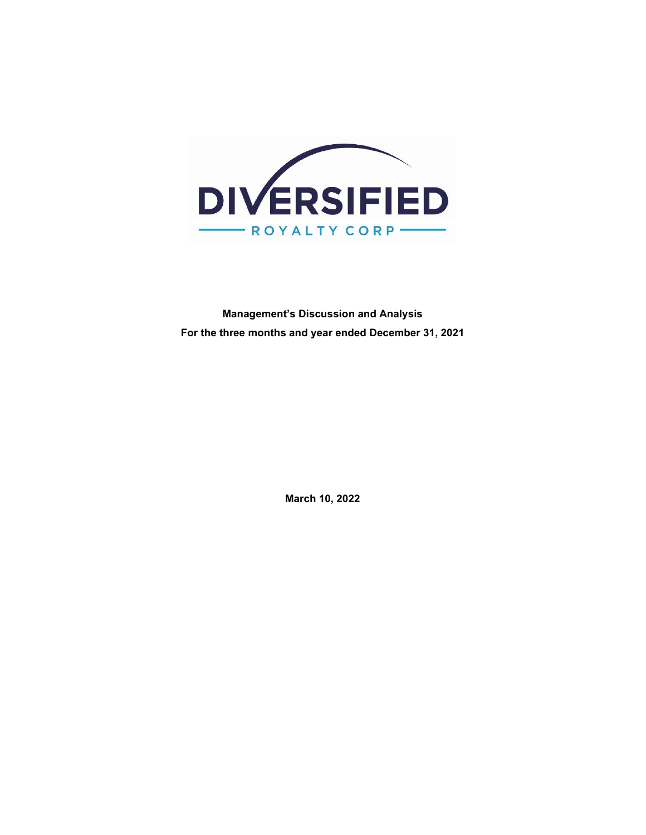

Management's Discussion and Analysis For the three months and year ended December 31, 2021

March 10, 2022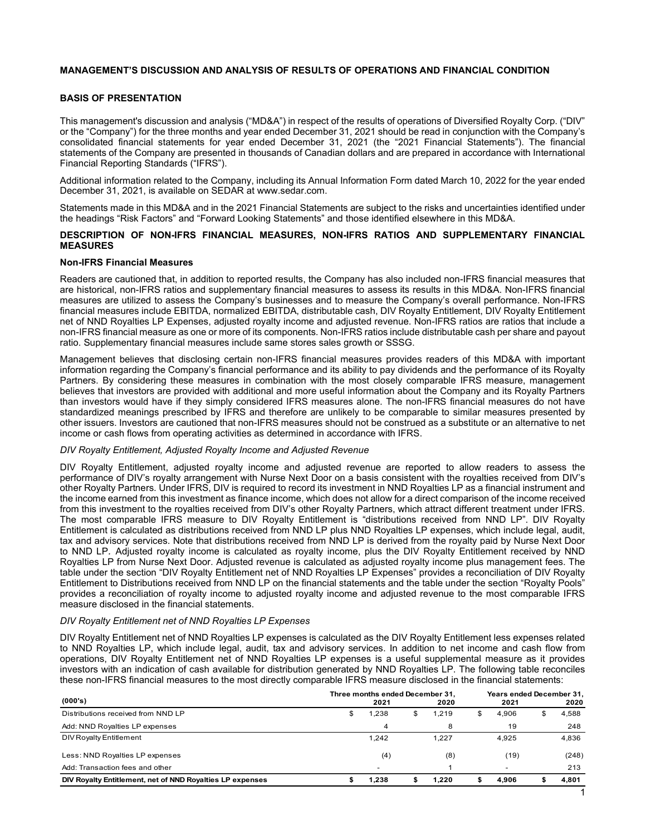# MANAGEMENT'S DISCUSSION AND ANALYSIS OF RESULTS OF OPERATIONS AND FINANCIAL CONDITION

# BASIS OF PRESENTATION

This management's discussion and analysis ("MD&A") in respect of the results of operations of Diversified Royalty Corp. ("DIV" or the "Company") for the three months and year ended December 31, 2021 should be read in conjunction with the Company's consolidated financial statements for year ended December 31, 2021 (the "2021 Financial Statements"). The financial statements of the Company are presented in thousands of Canadian dollars and are prepared in accordance with International Financial Reporting Standards ("IFRS").

Additional information related to the Company, including its Annual Information Form dated March 10, 2022 for the year ended December 31, 2021, is available on SEDAR at www.sedar.com.

Statements made in this MD&A and in the 2021 Financial Statements are subject to the risks and uncertainties identified under the headings "Risk Factors" and "Forward Looking Statements" and those identified elsewhere in this MD&A.

### DESCRIPTION OF NON-IFRS FINANCIAL MEASURES, NON-IFRS RATIOS AND SUPPLEMENTARY FINANCIAL **MEASURES**

### Non-IFRS Financial Measures

Readers are cautioned that, in addition to reported results, the Company has also included non-IFRS financial measures that are historical, non-IFRS ratios and supplementary financial measures to assess its results in this MD&A. Non-IFRS financial measures are utilized to assess the Company's businesses and to measure the Company's overall performance. Non-IFRS financial measures include EBITDA, normalized EBITDA, distributable cash, DIV Royalty Entitlement, DIV Royalty Entitlement net of NND Royalties LP Expenses, adjusted royalty income and adjusted revenue. Non-IFRS ratios are ratios that include a non-IFRS financial measure as one or more of its components. Non-IFRS ratios include distributable cash per share and payout ratio. Supplementary financial measures include same stores sales growth or SSSG.

Management believes that disclosing certain non-IFRS financial measures provides readers of this MD&A with important information regarding the Company's financial performance and its ability to pay dividends and the performance of its Royalty Partners. By considering these measures in combination with the most closely comparable IFRS measure, management believes that investors are provided with additional and more useful information about the Company and its Royalty Partners than investors would have if they simply considered IFRS measures alone. The non-IFRS financial measures do not have standardized meanings prescribed by IFRS and therefore are unlikely to be comparable to similar measures presented by other issuers. Investors are cautioned that non-IFRS measures should not be construed as a substitute or an alternative to net income or cash flows from operating activities as determined in accordance with IFRS.

#### DIV Royalty Entitlement, Adjusted Royalty Income and Adjusted Revenue

DIV Royalty Entitlement, adjusted royalty income and adjusted revenue are reported to allow readers to assess the performance of DIV's royalty arrangement with Nurse Next Door on a basis consistent with the royalties received from DIV's other Royalty Partners. Under IFRS, DIV is required to record its investment in NND Royalties LP as a financial instrument and the income earned from this investment as finance income, which does not allow for a direct comparison of the income received from this investment to the royalties received from DIV's other Royalty Partners, which attract different treatment under IFRS. The most comparable IFRS measure to DIV Royalty Entitlement is "distributions received from NND LP". DIV Royalty Entitlement is calculated as distributions received from NND LP plus NND Royalties LP expenses, which include legal, audit, tax and advisory services. Note that distributions received from NND LP is derived from the royalty paid by Nurse Next Door to NND LP. Adjusted royalty income is calculated as royalty income, plus the DIV Royalty Entitlement received by NND Royalties LP from Nurse Next Door. Adjusted revenue is calculated as adjusted royalty income plus management fees. The table under the section "DIV Royalty Entitlement net of NND Royalties LP Expenses" provides a reconciliation of DIV Royalty Entitlement to Distributions received from NND LP on the financial statements and the table under the section "Royalty Pools" provides a reconciliation of royalty income to adjusted royalty income and adjusted revenue to the most comparable IFRS measure disclosed in the financial statements. DIV Royally Entillement, adjusted Royalty income and Adjusted Revenue<br>
DIV Royalty Entillement, adjusted Royalty income and Adjusted Revenue<br>
DIV Royalty Entillement, adjusted royalty income and Adjusted Revenue<br>
DIV Royal UV Royally Entitlement A quisited royally income and Aquista revenue are reported to allow readers to assess the<br>particular control of the stress of the most proportion of DDV synthy are need for the absolute that which is

# DIV Royalty Entitlement net of NND Royalties LP Expenses

DIV Royalty Entitlement net of NND Royalties LP expenses is calculated as the DIV Royalty Entitlement less expenses related to NND Royalties LP, which include legal, audit, tax and advisory services. In addition to net income and cash flow from operations, DIV Royalty Entitlement net of NND Royalties LP expenses is a useful supplemental measure as it provides investors with an indication of cash available for distribution generated by NND Royalties LP. The following table reconciles these non-IFRS financial measures to the most directly comparable IFRS measure disclosed in the financial statements:

| (000's)                                                   |   | Three months ended December 31,<br>2021 | 2020  | Years ended December 31,<br>2021 | 2020  |
|-----------------------------------------------------------|---|-----------------------------------------|-------|----------------------------------|-------|
| Distributions received from NND LP                        | æ | 238. ا                                  | 1,219 | 4.906                            | 4,588 |
| Add: NND Royalties LP expenses                            |   | 4                                       | 8     | 19                               | 248   |
| DIV Royalty Entitlement                                   |   | 1,242                                   | 1,227 | 4.925                            | 4,836 |
| Less: NND Royalties LP expenses                           |   | (4)                                     | (8)   | (19)                             | (248) |
| Add: Transaction fees and other                           |   | $\overline{\phantom{a}}$                |       | $\overline{\phantom{a}}$         | 213   |
| DIV Royalty Entitlement, net of NND Royalties LP expenses |   | 1.238                                   | 1.220 | 4.906                            | 4,801 |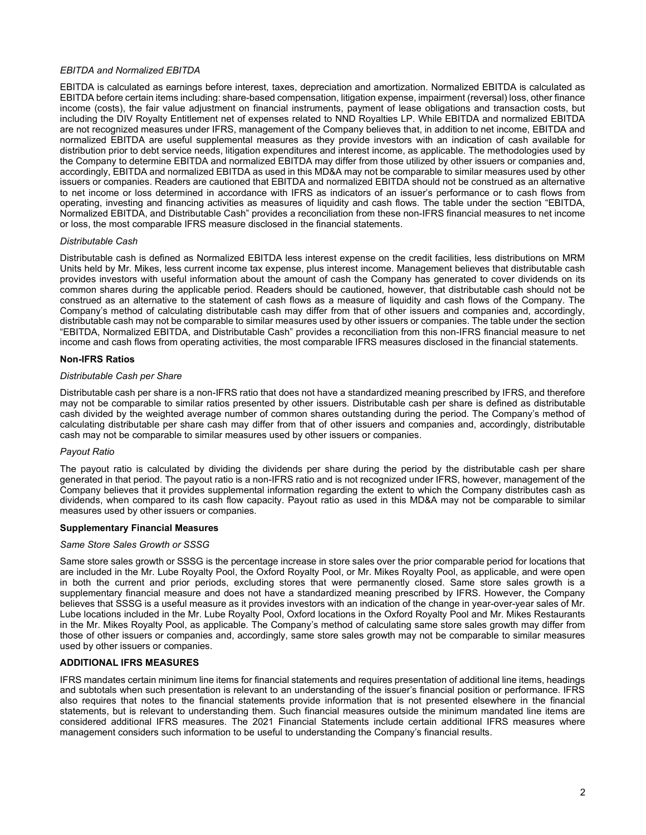# EBITDA and Normalized EBITDA

EBITDA is calculated as earnings before interest, taxes, depreciation and amortization. Normalized EBITDA is calculated as EBITDA before certain items including: share-based compensation, litigation expense, impairment (reversal) loss, other finance income (costs), the fair value adjustment on financial instruments, payment of lease obligations and transaction costs, but including the DIV Royalty Entitlement net of expenses related to NND Royalties LP. While EBITDA and normalized EBITDA are not recognized measures under IFRS, management of the Company believes that, in addition to net income, EBITDA and normalized EBITDA are useful supplemental measures as they provide investors with an indication of cash available for distribution prior to debt service needs, litigation expenditures and interest income, as applicable. The methodologies used by the Company to determine EBITDA and normalized EBITDA may differ from those utilized by other issuers or companies and, accordingly, EBITDA and normalized EBITDA as used in this MD&A may not be comparable to similar measures used by other issuers or companies. Readers are cautioned that EBITDA and normalized EBITDA should not be construed as an alternative to net income or loss determined in accordance with IFRS as indicators of an issuer's performance or to cash flows from operating, investing and financing activities as measures of liquidity and cash flows. The table under the section "EBITDA, Normalized EBITDA, and Distributable Cash" provides a reconciliation from these non-IFRS financial measures to net income or loss, the most comparable IFRS measure disclosed in the financial statements.

### Distributable Cash

Distributable cash is defined as Normalized EBITDA less interest expense on the credit facilities, less distributions on MRM Units held by Mr. Mikes, less current income tax expense, plus interest income. Management believes that distributable cash provides investors with useful information about the amount of cash the Company has generated to cover dividends on its common shares during the applicable period. Readers should be cautioned, however, that distributable cash should not be construed as an alternative to the statement of cash flows as a measure of liquidity and cash flows of the Company. The Company's method of calculating distributable cash may differ from that of other issuers and companies and, accordingly, distributable cash may not be comparable to similar measures used by other issuers or companies. The table under the section "EBITDA, Normalized EBITDA, and Distributable Cash" provides a reconciliation from this non-IFRS financial measure to net income and cash flows from operating activities, the most comparable IFRS measures disclosed in the financial statements.

### Non-IFRS Ratios

# Distributable Cash per Share

Distributable cash per share is a non-IFRS ratio that does not have a standardized meaning prescribed by IFRS, and therefore may not be comparable to similar ratios presented by other issuers. Distributable cash per share is defined as distributable cash divided by the weighted average number of common shares outstanding during the period. The Company's method of calculating distributable per share cash may differ from that of other issuers and companies and, accordingly, distributable cash may not be comparable to similar measures used by other issuers or companies.

# Payout Ratio

The payout ratio is calculated by dividing the dividends per share during the period by the distributable cash per share generated in that period. The payout ratio is a non-IFRS ratio and is not recognized under IFRS, however, management of the Company believes that it provides supplemental information regarding the extent to which the Company distributes cash as dividends, when compared to its cash flow capacity. Payout ratio as used in this MD&A may not be comparable to similar measures used by other issuers or companies.

#### Supplementary Financial Measures

#### Same Store Sales Growth or SSSG

Same store sales growth or SSSG is the percentage increase in store sales over the prior comparable period for locations that are included in the Mr. Lube Royalty Pool, the Oxford Royalty Pool, or Mr. Mikes Royalty Pool, as applicable, and were open in both the current and prior periods, excluding stores that were permanently closed. Same store sales growth is a supplementary financial measure and does not have a standardized meaning prescribed by IFRS. However, the Company believes that SSSG is a useful measure as it provides investors with an indication of the change in year-over-year sales of Mr. Lube locations included in the Mr. Lube Royalty Pool, Oxford locations in the Oxford Royalty Pool and Mr. Mikes Restaurants in the Mr. Mikes Royalty Pool, as applicable. The Company's method of calculating same store sales growth may differ from those of other issuers or companies and, accordingly, same store sales growth may not be comparable to similar measures used by other issuers or companies.

# ADDITIONAL IFRS MEASURES

IFRS mandates certain minimum line items for financial statements and requires presentation of additional line items, headings and subtotals when such presentation is relevant to an understanding of the issuer's financial position or performance. IFRS also requires that notes to the financial statements provide information that is not presented elsewhere in the financial statements, but is relevant to understanding them. Such financial measures outside the minimum mandated line items are considered additional IFRS measures. The 2021 Financial Statements include certain additional IFRS measures where management considers such information to be useful to understanding the Company's financial results.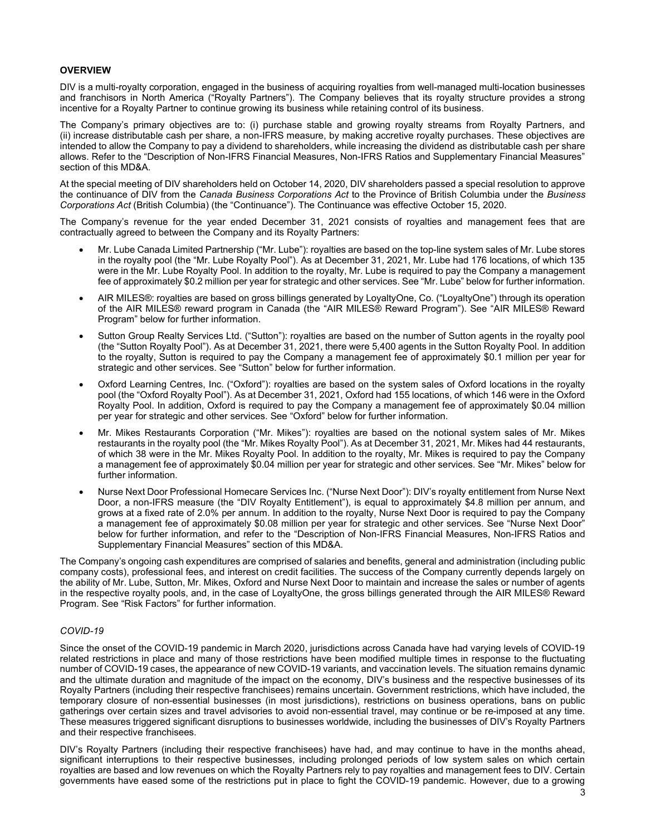# **OVERVIEW**

DIV is a multi-royalty corporation, engaged in the business of acquiring royalties from well-managed multi-location businesses and franchisors in North America ("Royalty Partners"). The Company believes that its royalty structure provides a strong incentive for a Royalty Partner to continue growing its business while retaining control of its business.

The Company's primary objectives are to: (i) purchase stable and growing royalty streams from Royalty Partners, and (ii) increase distributable cash per share, a non-IFRS measure, by making accretive royalty purchases. These objectives are intended to allow the Company to pay a dividend to shareholders, while increasing the dividend as distributable cash per share allows. Refer to the "Description of Non-IFRS Financial Measures, Non-IFRS Ratios and Supplementary Financial Measures" section of this MD&A.

At the special meeting of DIV shareholders held on October 14, 2020, DIV shareholders passed a special resolution to approve the continuance of DIV from the Canada Business Corporations Act to the Province of British Columbia under the Business Corporations Act (British Columbia) (the "Continuance"). The Continuance was effective October 15, 2020.

The Company's revenue for the year ended December 31, 2021 consists of royalties and management fees that are contractually agreed to between the Company and its Royalty Partners:

- Mr. Lube Canada Limited Partnership ("Mr. Lube"): royalties are based on the top-line system sales of Mr. Lube stores in the royalty pool (the "Mr. Lube Royalty Pool"). As at December 31, 2021, Mr. Lube had 176 locations, of which 135 were in the Mr. Lube Royalty Pool. In addition to the royalty, Mr. Lube is required to pay the Company a management fee of approximately \$0.2 million per year for strategic and other services. See "Mr. Lube" below for further information.
- AIR MILES®: royalties are based on gross billings generated by LoyaltyOne, Co. ("LoyaltyOne") through its operation of the AIR MILES® reward program in Canada (the "AIR MILES® Reward Program"). See "AIR MILES® Reward Program" below for further information.
- Sutton Group Realty Services Ltd. ("Sutton"): royalties are based on the number of Sutton agents in the royalty pool (the "Sutton Royalty Pool"). As at December 31, 2021, there were 5,400 agents in the Sutton Royalty Pool. In addition to the royalty, Sutton is required to pay the Company a management fee of approximately \$0.1 million per year for strategic and other services. See "Sutton" below for further information.
- Oxford Learning Centres, Inc. ("Oxford"): royalties are based on the system sales of Oxford locations in the royalty pool (the "Oxford Royalty Pool"). As at December 31, 2021, Oxford had 155 locations, of which 146 were in the Oxford Royalty Pool. In addition, Oxford is required to pay the Company a management fee of approximately \$0.04 million per year for strategic and other services. See "Oxford" below for further information.
- Mr. Mikes Restaurants Corporation ("Mr. Mikes"): royalties are based on the notional system sales of Mr. Mikes restaurants in the royalty pool (the "Mr. Mikes Royalty Pool"). As at December 31, 2021, Mr. Mikes had 44 restaurants, of which 38 were in the Mr. Mikes Royalty Pool. In addition to the royalty, Mr. Mikes is required to pay the Company a management fee of approximately \$0.04 million per year for strategic and other services. See "Mr. Mikes" below for further information.
- Nurse Next Door Professional Homecare Services Inc. ("Nurse Next Door"): DIV's royalty entitlement from Nurse Next Door, a non-IFRS measure (the "DIV Royalty Entitlement"), is equal to approximately \$4.8 million per annum, and grows at a fixed rate of 2.0% per annum. In addition to the royalty, Nurse Next Door is required to pay the Company a management fee of approximately \$0.08 million per year for strategic and other services. See "Nurse Next Door" below for further information, and refer to the "Description of Non-IFRS Financial Measures, Non-IFRS Ratios and Supplementary Financial Measures" section of this MD&A.

The Company's ongoing cash expenditures are comprised of salaries and benefits, general and administration (including public company costs), professional fees, and interest on credit facilities. The success of the Company currently depends largely on the ability of Mr. Lube, Sutton, Mr. Mikes, Oxford and Nurse Next Door to maintain and increase the sales or number of agents in the respective royalty pools, and, in the case of LoyaltyOne, the gross billings generated through the AIR MILES® Reward Program. See "Risk Factors" for further information.

#### COVID-19

Since the onset of the COVID-19 pandemic in March 2020, jurisdictions across Canada have had varying levels of COVID-19 related restrictions in place and many of those restrictions have been modified multiple times in response to the fluctuating number of COVID-19 cases, the appearance of new COVID-19 variants, and vaccination levels. The situation remains dynamic and the ultimate duration and magnitude of the impact on the economy, DIV's business and the respective businesses of its Royalty Partners (including their respective franchisees) remains uncertain. Government restrictions, which have included, the temporary closure of non-essential businesses (in most jurisdictions), restrictions on business operations, bans on public gatherings over certain sizes and travel advisories to avoid non-essential travel, may continue or be re-imposed at any time. These measures triggered significant disruptions to businesses worldwide, including the businesses of DIV's Royalty Partners and their respective franchisees.

DIV's Royalty Partners (including their respective franchisees) have had, and may continue to have in the months ahead, significant interruptions to their respective businesses, including prolonged periods of low system sales on which certain royalties are based and low revenues on which the Royalty Partners rely to pay royalties and management fees to DIV. Certain governments have eased some of the restrictions put in place to fight the COVID-19 pandemic. However, due to a growing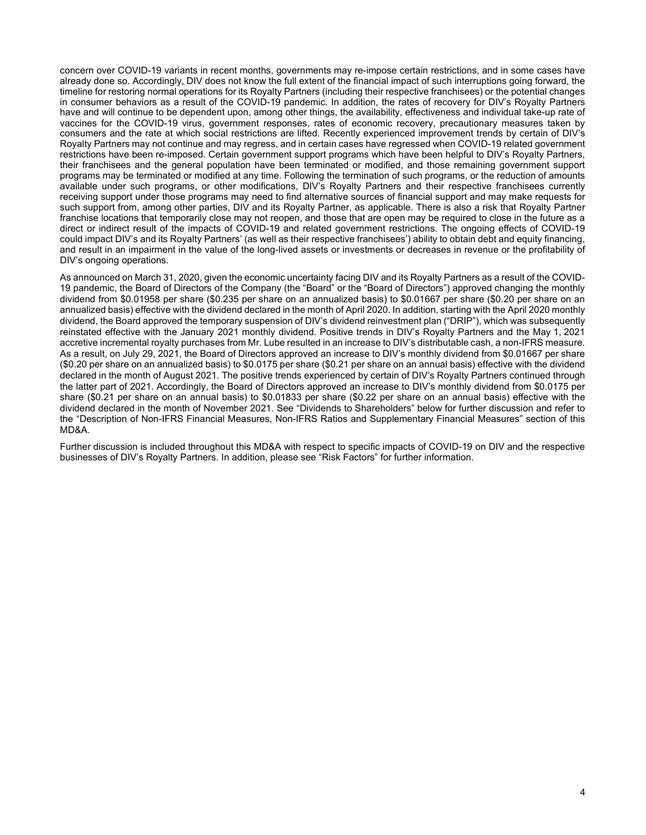concern over COVID-19 variants in recent months, governments may re-impose certain restrictions, and in some cases have already done so. Accordingly, DIV does not know the full extent of the financial impact of such interruptions going forward, the timeline for restoring normal operations for its Royalty Partners (including their respective franchisees) or the potential changes in consumer behaviors as a result of the COVID-19 pandemic. In addition, the rates of recovery for DIV's Royalty Partners have and will continue to be dependent upon, among other things, the availability, effectiveness and individual take-up rate of vaccines for the COVID-19 virus, government responses, rates of economic recovery, precautionary measures taken by consumers and the rate at which social restrictions are lifted. Recently experienced improvement trends by certain of DIV's Royalty Partners may not continue and may regress, and in certain cases have regressed when COVID-19 related government restrictions have been re-imposed. Certain government support programs which have been helpful to DIV's Royalty Partners, their franchisees and the general population have been terminated or modified, and those remaining government support programs may be terminated or modified at any time. Following the termination of such programs, or the reduction of amounts available under such programs, or other modifications, DIV's Royalty Partners and their respective franchisees currently receiving support under those programs may need to find alternative sources of financial support and may make requests for such support from, among other parties, DIV and its Royalty Partner, as applicable. There is also a risk that Royalty Partner franchise locations that temporarily close may not reopen, and those that are open may be required to close in the future as a direct or indirect result of the impacts of COVID-19 and related government restrictions. The ongoing effects of COVID-19 could impact DIV's and its Royalty Partners' (as well as their respective franchisees') ability to obtain debt and equity financing, and result in an impairment in the value of the long-lived assets or investments or decreases in revenue or the profitability of DIV's ongoing operations.

As announced on March 31, 2020, given the economic uncertainty facing DIV and its Royalty Partners as a result of the COVID-19 pandemic, the Board of Directors of the Company (the "Board" or the "Board of Directors") approved changing the monthly dividend from \$0.01958 per share (\$0.235 per share on an annualized basis) to \$0.01667 per share (\$0.20 per share on an annualized basis) effective with the dividend declared in the month of April 2020. In addition, starting with the April 2020 monthly dividend, the Board approved the temporary suspension of DIV's dividend reinvestment plan ("DRIP"), which was subsequently reinstated effective with the January 2021 monthly dividend. Positive trends in DIV's Royalty Partners and the May 1, 2021 accretive incremental royalty purchases from Mr. Lube resulted in an increase to DIV's distributable cash, a non-IFRS measure. As a result, on July 29, 2021, the Board of Directors approved an increase to DIV's monthly dividend from \$0.01667 per share (\$0.20 per share on an annualized basis) to \$0.0175 per share (\$0.21 per share on an annual basis) effective with the dividend declared in the month of August 2021. The positive trends experienced by certain of DIV's Royalty Partners continued through the latter part of 2021. Accordingly, the Board of Directors approved an increase to DIV's monthly dividend from \$0.0175 per share (\$0.21 per share on an annual basis) to \$0.01833 per share (\$0.22 per share on an annual basis) effective with the dividend declared in the month of November 2021. See "Dividends to Shareholders" below for further discussion and refer to the "Description of Non-IFRS Financial Measures, Non-IFRS Ratios and Supplementary Financial Measures" section of this MD&A.

Further discussion is included throughout this MD&A with respect to specific impacts of COVID-19 on DIV and the respective businesses of DIV's Royalty Partners. In addition, please see "Risk Factors" for further information.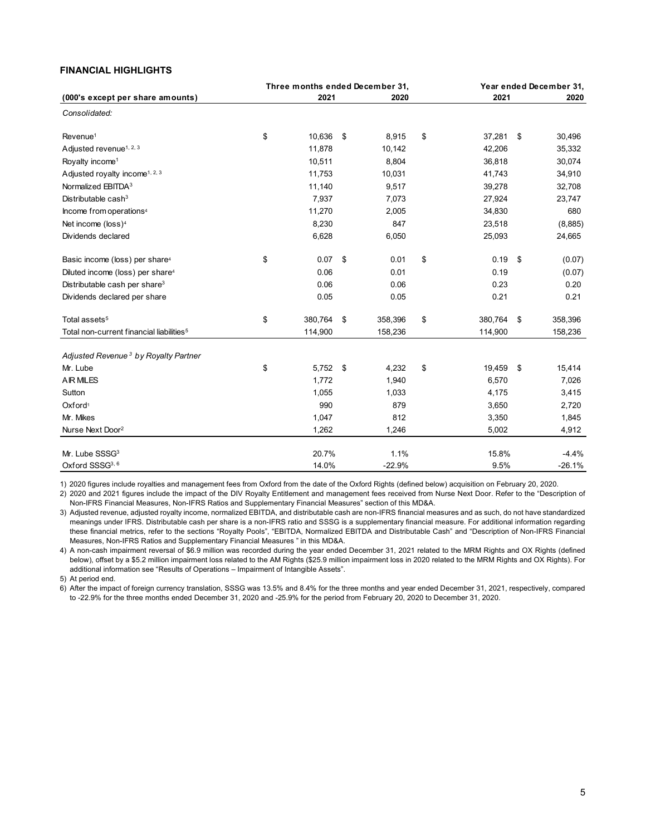# FINANCIAL HIGHLIGHTS

| <b>FINANCIAL HIGHLIGHTS</b>                          |                                         |          |                  |                         |          |
|------------------------------------------------------|-----------------------------------------|----------|------------------|-------------------------|----------|
|                                                      |                                         |          |                  |                         |          |
|                                                      |                                         |          |                  |                         |          |
|                                                      | Three months ended December 31,<br>2021 | 2020     | 2021             | Year ended December 31, |          |
| (000's except per share amounts)<br>Consolidated:    |                                         |          |                  |                         | 2020     |
|                                                      | 10,636 \$                               | 8,915    | 37,281 \$        |                         | 30,496   |
| Revenue <sup>1</sup>                                 | \$                                      |          | \$               |                         |          |
| Adjusted revenue <sup>1, 2, 3</sup>                  | 11,878                                  | 10,142   | 42,206           |                         | 35,332   |
| Royalty income <sup>1</sup>                          | 10,511                                  | 8,804    | 36,818           |                         | 30,074   |
| Adjusted royalty income <sup>1, 2, 3</sup>           | 11,753                                  | 10,031   | 41,743           |                         | 34,910   |
| Normalized EBITDA <sup>3</sup>                       | 11,140                                  | 9,517    | 39,278           |                         | 32,708   |
| Distributable cash $3$                               | 7,937                                   | 7,073    | 27,924           |                         | 23,747   |
| Income from operations <sup>4</sup>                  | 11,270                                  | 2,005    | 34,830           |                         | 680      |
| Net income (loss) <sup>4</sup>                       | 8,230                                   | 847      | 23,518           |                         | (8,885)  |
| Dividends declared                                   | 6,628                                   | 6,050    | 25,093           |                         | 24,665   |
| Basic income (loss) per share <sup>4</sup>           | \$<br>$0.07$ \$                         | 0.01     | \$<br>$0.19$ \$  |                         | (0.07)   |
| Diluted income (loss) per share <sup>4</sup>         | 0.06                                    | 0.01     | 0.19             |                         | (0.07)   |
| Distributable cash per share <sup>3</sup>            | 0.06                                    | 0.06     | 0.23             |                         | 0.20     |
| Dividends declared per share                         | $0.05\,$                                | 0.05     | 0.21             |                         | 0.21     |
| Total assets <sup>5</sup>                            | \$<br>380,764 \$                        | 358,396  | \$<br>380,764 \$ |                         | 358,396  |
| Total non-current financial liabilities <sup>5</sup> | 114,900                                 | 158,236  | 114,900          |                         | 158,236  |
| Adjusted Revenue <sup>3</sup> by Royalty Partner     |                                         |          |                  |                         |          |
| Mr. Lube                                             | \$<br>5,752 \$                          | 4,232    | \$<br>19,459 \$  |                         | 15,414   |
| <b>AIR MILES</b>                                     | 1,772                                   | 1,940    | 6,570            |                         | 7,026    |
| Sutton                                               | 1,055                                   | 1,033    | 4,175            |                         | 3,415    |
| Oxford <sup>1</sup>                                  | 990                                     | 879      | 3,650            |                         | 2,720    |
| Mr. Mikes                                            | 1,047                                   | 812      | 3,350            |                         | 1,845    |
| Nurse Next Door <sup>2</sup>                         | 1,262                                   | 1,246    | 5,002            |                         | 4,912    |
| Mr. Lube SSSG <sup>3</sup>                           | 20.7%                                   | 1.1%     | 15.8%            |                         | $-4.4%$  |
| Oxford SSSG3, 6                                      | 14.0%                                   | $-22.9%$ | 9.5%             |                         | $-26.1%$ |

3) Adjusted revenue, adjusted royalty income, normalized EBITDA, and distributable cash are non-IFRS financial measures and as such, do not have standardized meanings under IFRS. Distributable cash per share is a non-IFRS ratio and SSSG is a supplementary financial measure. For additional information regarding these financial metrics, refer to the sections "Royalty Pools", "EBITDA, Normalized EBITDA and Distributable Cash" and "Description of Non-IFRS Financial Measures, Non-IFRS Ratios and Supplementary Financial Measures " in this MD&A.

4) A non-cash impairment reversal of \$6.9 million was recorded during the year ended December 31, 2021 related to the MRM Rights and OX Rights (defined below), offset by a \$5.2 million impairment loss related to the AM Rights (\$25.9 million impairment loss in 2020 related to the MRM Rights and OX Rights). For additional information see "Results of Operations – Impairment of Intangible Assets".

5) At period end.

6) After the impact of foreign currency translation, SSSG was 13.5% and 8.4% for the three months and year ended December 31, 2021, respectively, compared to -22.9% for the three months ended December 31, 2020 and -25.9% for the period from February 20, 2020 to December 31, 2020.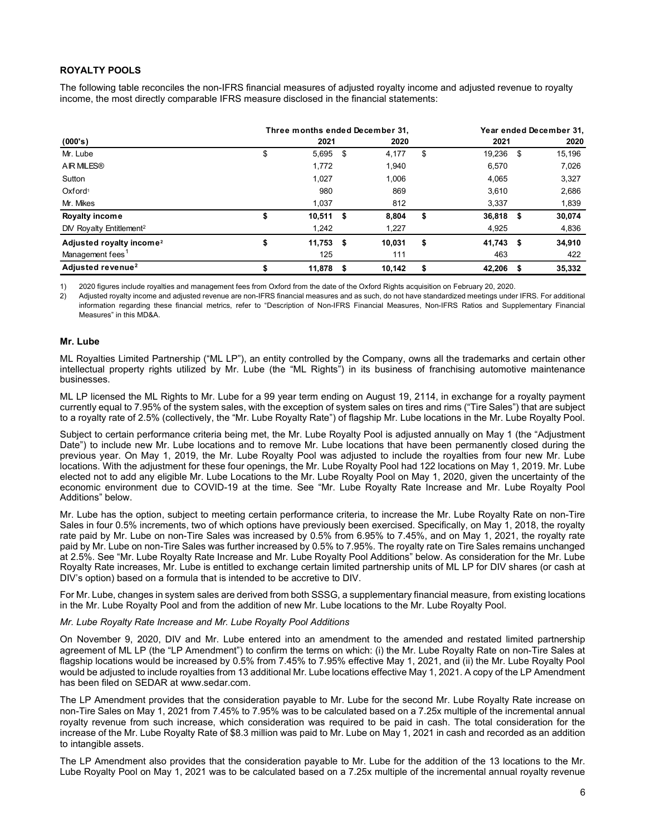# ROYALTY POOLS

| <b>ROYALTY POOLS</b>                                                                                                      |                                 |               |                        |                         |
|---------------------------------------------------------------------------------------------------------------------------|---------------------------------|---------------|------------------------|-------------------------|
| The following table reconciles the non-IFRS financial measures of adjusted royalty income and adjusted revenue to royalty |                                 |               |                        |                         |
| income, the most directly comparable IFRS measure disclosed in the financial statements:                                  |                                 |               |                        |                         |
|                                                                                                                           |                                 |               |                        |                         |
|                                                                                                                           | Three months ended December 31, |               |                        | Year ended December 31, |
| (000's)                                                                                                                   | 2021                            | 2020          | 2021                   | 2020                    |
| Mr. Lube                                                                                                                  | \$<br>5,695 \$                  | 4,177         | \$<br>19,236 \$        | 15,196                  |
| <b>AIR MILES®</b>                                                                                                         | 1,772                           | 1,940         | 6,570                  | 7,026                   |
| Sutton                                                                                                                    | 1,027                           | 1,006         | 4,065                  | 3,327                   |
| Oxford <sup>1</sup>                                                                                                       | 980                             | 869           | 3,610                  | 2,686                   |
| Mr. Mikes                                                                                                                 | 1,037                           | 812           | 3,337                  | 1,839                   |
|                                                                                                                           | \$<br>$10,511$ \$               | 8,804         | \$<br>36,818 \$        | 30,074                  |
| Royalty income                                                                                                            | 1,242                           | 1,227         | 4,925                  | 4,836                   |
| DIV Royalty Entitlement <sup>2</sup>                                                                                      |                                 |               |                        |                         |
| Adjusted royalty income <sup>2</sup><br>Management fees <sup>1</sup>                                                      | \$<br>$11,753$ \$<br>125        | 10,031<br>111 | \$<br>41,743 \$<br>463 | 34,910<br>422           |

1) 2020 figures include royalties and management fees from Oxford from the date of the Oxford Rights acquisition on February 20, 2020.

2) Adjusted royalty income and adjusted revenue are non-IFRS financial measures and as such, do not have standardized meetings under IFRS. For additional information regarding these financial metrics, refer to "Description of Non-IFRS Financial Measures, Non-IFRS Ratios and Supplementary Financial Measures" in this MD&A.

### Mr. Lube

ML Royalties Limited Partnership ("ML LP"), an entity controlled by the Company, owns all the trademarks and certain other intellectual property rights utilized by Mr. Lube (the "ML Rights") in its business of franchising automotive maintenance businesses.

ML LP licensed the ML Rights to Mr. Lube for a 99 year term ending on August 19, 2114, in exchange for a royalty payment currently equal to 7.95% of the system sales, with the exception of system sales on tires and rims ("Tire Sales") that are subject to a royalty rate of 2.5% (collectively, the "Mr. Lube Royalty Rate") of flagship Mr. Lube locations in the Mr. Lube Royalty Pool.

Subject to certain performance criteria being met, the Mr. Lube Royalty Pool is adjusted annually on May 1 (the "Adjustment Date") to include new Mr. Lube locations and to remove Mr. Lube locations that have been permanently closed during the previous year. On May 1, 2019, the Mr. Lube Royalty Pool was adjusted to include the royalties from four new Mr. Lube locations. With the adjustment for these four openings, the Mr. Lube Royalty Pool had 122 locations on May 1, 2019. Mr. Lube elected not to add any eligible Mr. Lube Locations to the Mr. Lube Royalty Pool on May 1, 2020, given the uncertainty of the economic environment due to COVID-19 at the time. See "Mr. Lube Royalty Rate Increase and Mr. Lube Royalty Pool Additions" below.

Mr. Lube has the option, subject to meeting certain performance criteria, to increase the Mr. Lube Royalty Rate on non-Tire Sales in four 0.5% increments, two of which options have previously been exercised. Specifically, on May 1, 2018, the royalty rate paid by Mr. Lube on non-Tire Sales was increased by 0.5% from 6.95% to 7.45%, and on May 1, 2021, the royalty rate paid by Mr. Lube on non-Tire Sales was further increased by 0.5% to 7.95%. The royalty rate on Tire Sales remains unchanged at 2.5%. See "Mr. Lube Royalty Rate Increase and Mr. Lube Royalty Pool Additions" below. As consideration for the Mr. Lube Royalty Rate increases, Mr. Lube is entitled to exchange certain limited partnership units of ML LP for DIV shares (or cash at DIV's option) based on a formula that is intended to be accretive to DIV.

For Mr. Lube, changes in system sales are derived from both SSSG, a supplementary financial measure, from existing locations in the Mr. Lube Royalty Pool and from the addition of new Mr. Lube locations to the Mr. Lube Royalty Pool.

#### Mr. Lube Royalty Rate Increase and Mr. Lube Royalty Pool Additions

On November 9, 2020, DIV and Mr. Lube entered into an amendment to the amended and restated limited partnership agreement of ML LP (the "LP Amendment") to confirm the terms on which: (i) the Mr. Lube Royalty Rate on non-Tire Sales at flagship locations would be increased by 0.5% from 7.45% to 7.95% effective May 1, 2021, and (ii) the Mr. Lube Royalty Pool would be adjusted to include royalties from 13 additional Mr. Lube locations effective May 1, 2021. A copy of the LP Amendment has been filed on SEDAR at www.sedar.com.

The LP Amendment provides that the consideration payable to Mr. Lube for the second Mr. Lube Royalty Rate increase on non-Tire Sales on May 1, 2021 from 7.45% to 7.95% was to be calculated based on a 7.25x multiple of the incremental annual royalty revenue from such increase, which consideration was required to be paid in cash. The total consideration for the increase of the Mr. Lube Royalty Rate of \$8.3 million was paid to Mr. Lube on May 1, 2021 in cash and recorded as an addition to intangible assets.

The LP Amendment also provides that the consideration payable to Mr. Lube for the addition of the 13 locations to the Mr. Lube Royalty Pool on May 1, 2021 was to be calculated based on a 7.25x multiple of the incremental annual royalty revenue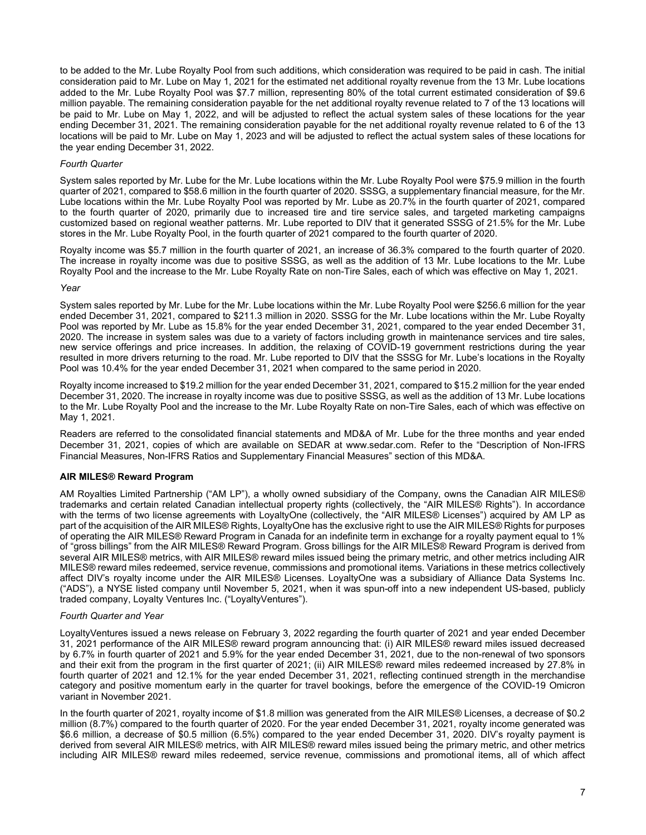to be added to the Mr. Lube Royalty Pool from such additions, which consideration was required to be paid in cash. The initial consideration paid to Mr. Lube on May 1, 2021 for the estimated net additional royalty revenue from the 13 Mr. Lube locations added to the Mr. Lube Royalty Pool was \$7.7 million, representing 80% of the total current estimated consideration of \$9.6 million payable. The remaining consideration payable for the net additional royalty revenue related to 7 of the 13 locations will be paid to Mr. Lube on May 1, 2022, and will be adjusted to reflect the actual system sales of these locations for the year ending December 31, 2021. The remaining consideration payable for the net additional royalty revenue related to 6 of the 13 locations will be paid to Mr. Lube on May 1, 2023 and will be adjusted to reflect the actual system sales of these locations for the year ending December 31, 2022.

### Fourth Quarter

System sales reported by Mr. Lube for the Mr. Lube locations within the Mr. Lube Royalty Pool were \$75.9 million in the fourth quarter of 2021, compared to \$58.6 million in the fourth quarter of 2020. SSSG, a supplementary financial measure, for the Mr. Lube locations within the Mr. Lube Royalty Pool was reported by Mr. Lube as 20.7% in the fourth quarter of 2021, compared to the fourth quarter of 2020, primarily due to increased tire and tire service sales, and targeted marketing campaigns customized based on regional weather patterns. Mr. Lube reported to DIV that it generated SSSG of 21.5% for the Mr. Lube stores in the Mr. Lube Royalty Pool, in the fourth quarter of 2021 compared to the fourth quarter of 2020.

Royalty income was \$5.7 million in the fourth quarter of 2021, an increase of 36.3% compared to the fourth quarter of 2020. The increase in royalty income was due to positive SSSG, as well as the addition of 13 Mr. Lube locations to the Mr. Lube Royalty Pool and the increase to the Mr. Lube Royalty Rate on non-Tire Sales, each of which was effective on May 1, 2021.

#### Year

System sales reported by Mr. Lube for the Mr. Lube locations within the Mr. Lube Royalty Pool were \$256.6 million for the year ended December 31, 2021, compared to \$211.3 million in 2020. SSSG for the Mr. Lube locations within the Mr. Lube Royalty Pool was reported by Mr. Lube as 15.8% for the year ended December 31, 2021, compared to the year ended December 31, 2020. The increase in system sales was due to a variety of factors including growth in maintenance services and tire sales, new service offerings and price increases. In addition, the relaxing of COVID-19 government restrictions during the year resulted in more drivers returning to the road. Mr. Lube reported to DIV that the SSSG for Mr. Lube's locations in the Royalty Pool was 10.4% for the year ended December 31, 2021 when compared to the same period in 2020.

Royalty income increased to \$19.2 million for the year ended December 31, 2021, compared to \$15.2 million for the year ended December 31, 2020. The increase in royalty income was due to positive SSSG, as well as the addition of 13 Mr. Lube locations to the Mr. Lube Royalty Pool and the increase to the Mr. Lube Royalty Rate on non-Tire Sales, each of which was effective on May 1, 2021.

Readers are referred to the consolidated financial statements and MD&A of Mr. Lube for the three months and year ended December 31, 2021, copies of which are available on SEDAR at www.sedar.com. Refer to the "Description of Non-IFRS Financial Measures, Non-IFRS Ratios and Supplementary Financial Measures" section of this MD&A.

# AIR MILES® Reward Program

AM Royalties Limited Partnership ("AM LP"), a wholly owned subsidiary of the Company, owns the Canadian AIR MILES® trademarks and certain related Canadian intellectual property rights (collectively, the "AIR MILES® Rights"). In accordance with the terms of two license agreements with LoyaltyOne (collectively, the "AIR MILES® Licenses") acquired by AM LP as part of the acquisition of the AIR MILES® Rights, LoyaltyOne has the exclusive right to use the AIR MILES® Rights for purposes of operating the AIR MILES® Reward Program in Canada for an indefinite term in exchange for a royalty payment equal to 1% of "gross billings" from the AIR MILES® Reward Program. Gross billings for the AIR MILES® Reward Program is derived from several AIR MILES® metrics, with AIR MILES® reward miles issued being the primary metric, and other metrics including AIR MILES® reward miles redeemed, service revenue, commissions and promotional items. Variations in these metrics collectively affect DIV's royalty income under the AIR MILES® Licenses. LoyaltyOne was a subsidiary of Alliance Data Systems Inc. ("ADS"), a NYSE listed company until November 5, 2021, when it was spun-off into a new independent US-based, publicly traded company, Loyalty Ventures Inc. ("LoyaltyVentures").

#### Fourth Quarter and Year

LoyaltyVentures issued a news release on February 3, 2022 regarding the fourth quarter of 2021 and year ended December 31, 2021 performance of the AIR MILES® reward program announcing that: (i) AIR MILES® reward miles issued decreased by 6.7% in fourth quarter of 2021 and 5.9% for the year ended December 31, 2021, due to the non-renewal of two sponsors and their exit from the program in the first quarter of 2021; (ii) AIR MILES® reward miles redeemed increased by 27.8% in fourth quarter of 2021 and 12.1% for the year ended December 31, 2021, reflecting continued strength in the merchandise category and positive momentum early in the quarter for travel bookings, before the emergence of the COVID-19 Omicron variant in November 2021.

In the fourth quarter of 2021, royalty income of \$1.8 million was generated from the AIR MILES® Licenses, a decrease of \$0.2 million (8.7%) compared to the fourth quarter of 2020. For the year ended December 31, 2021, royalty income generated was \$6.6 million, a decrease of \$0.5 million (6.5%) compared to the year ended December 31, 2020. DIV's royalty payment is derived from several AIR MILES® metrics, with AIR MILES® reward miles issued being the primary metric, and other metrics including AIR MILES® reward miles redeemed, service revenue, commissions and promotional items, all of which affect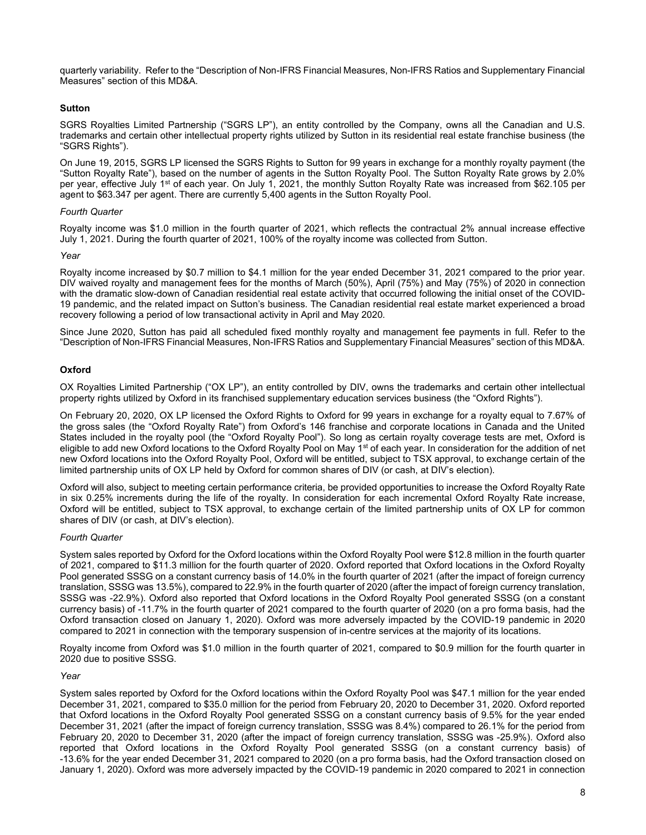quarterly variability. Refer to the "Description of Non-IFRS Financial Measures, Non-IFRS Ratios and Supplementary Financial Measures" section of this MD&A.

# **Sutton**

SGRS Royalties Limited Partnership ("SGRS LP"), an entity controlled by the Company, owns all the Canadian and U.S. trademarks and certain other intellectual property rights utilized by Sutton in its residential real estate franchise business (the "SGRS Rights").

On June 19, 2015, SGRS LP licensed the SGRS Rights to Sutton for 99 years in exchange for a monthly royalty payment (the "Sutton Royalty Rate"), based on the number of agents in the Sutton Royalty Pool. The Sutton Royalty Rate grows by 2.0% per year, effective July 1<sup>st</sup> of each year. On July 1, 2021, the monthly Sutton Royalty Rate was increased from \$62.105 per agent to \$63.347 per agent. There are currently 5,400 agents in the Sutton Royalty Pool.

# Fourth Quarter

Royalty income was \$1.0 million in the fourth quarter of 2021, which reflects the contractual 2% annual increase effective July 1, 2021. During the fourth quarter of 2021, 100% of the royalty income was collected from Sutton.

### Year

Royalty income increased by \$0.7 million to \$4.1 million for the year ended December 31, 2021 compared to the prior year. DIV waived royalty and management fees for the months of March (50%), April (75%) and May (75%) of 2020 in connection with the dramatic slow-down of Canadian residential real estate activity that occurred following the initial onset of the COVID-19 pandemic, and the related impact on Sutton's business. The Canadian residential real estate market experienced a broad recovery following a period of low transactional activity in April and May 2020.

Since June 2020, Sutton has paid all scheduled fixed monthly royalty and management fee payments in full. Refer to the "Description of Non-IFRS Financial Measures, Non-IFRS Ratios and Supplementary Financial Measures" section of this MD&A.

# **Oxford**

OX Royalties Limited Partnership ("OX LP"), an entity controlled by DIV, owns the trademarks and certain other intellectual property rights utilized by Oxford in its franchised supplementary education services business (the "Oxford Rights").

On February 20, 2020, OX LP licensed the Oxford Rights to Oxford for 99 years in exchange for a royalty equal to 7.67% of the gross sales (the "Oxford Royalty Rate") from Oxford's 146 franchise and corporate locations in Canada and the United States included in the royalty pool (the "Oxford Royalty Pool"). So long as certain royalty coverage tests are met, Oxford is eligible to add new Oxford locations to the Oxford Royalty Pool on May 1<sup>st</sup> of each year. In consideration for the addition of net new Oxford locations into the Oxford Royalty Pool, Oxford will be entitled, subject to TSX approval, to exchange certain of the limited partnership units of OX LP held by Oxford for common shares of DIV (or cash, at DIV's election).

Oxford will also, subject to meeting certain performance criteria, be provided opportunities to increase the Oxford Royalty Rate in six 0.25% increments during the life of the royalty. In consideration for each incremental Oxford Royalty Rate increase, Oxford will be entitled, subject to TSX approval, to exchange certain of the limited partnership units of OX LP for common shares of DIV (or cash, at DIV's election).

#### Fourth Quarter

System sales reported by Oxford for the Oxford locations within the Oxford Royalty Pool were \$12.8 million in the fourth quarter of 2021, compared to \$11.3 million for the fourth quarter of 2020. Oxford reported that Oxford locations in the Oxford Royalty Pool generated SSSG on a constant currency basis of 14.0% in the fourth quarter of 2021 (after the impact of foreign currency translation, SSSG was 13.5%), compared to 22.9% in the fourth quarter of 2020 (after the impact of foreign currency translation, SSSG was -22.9%). Oxford also reported that Oxford locations in the Oxford Royalty Pool generated SSSG (on a constant currency basis) of -11.7% in the fourth quarter of 2021 compared to the fourth quarter of 2020 (on a pro forma basis, had the Oxford transaction closed on January 1, 2020). Oxford was more adversely impacted by the COVID-19 pandemic in 2020 compared to 2021 in connection with the temporary suspension of in-centre services at the majority of its locations.

Royalty income from Oxford was \$1.0 million in the fourth quarter of 2021, compared to \$0.9 million for the fourth quarter in 2020 due to positive SSSG.

#### Year

System sales reported by Oxford for the Oxford locations within the Oxford Royalty Pool was \$47.1 million for the year ended December 31, 2021, compared to \$35.0 million for the period from February 20, 2020 to December 31, 2020. Oxford reported that Oxford locations in the Oxford Royalty Pool generated SSSG on a constant currency basis of 9.5% for the year ended December 31, 2021 (after the impact of foreign currency translation, SSSG was 8.4%) compared to 26.1% for the period from February 20, 2020 to December 31, 2020 (after the impact of foreign currency translation, SSSG was -25.9%). Oxford also reported that Oxford locations in the Oxford Royalty Pool generated SSSG (on a constant currency basis) of -13.6% for the year ended December 31, 2021 compared to 2020 (on a pro forma basis, had the Oxford transaction closed on January 1, 2020). Oxford was more adversely impacted by the COVID-19 pandemic in 2020 compared to 2021 in connection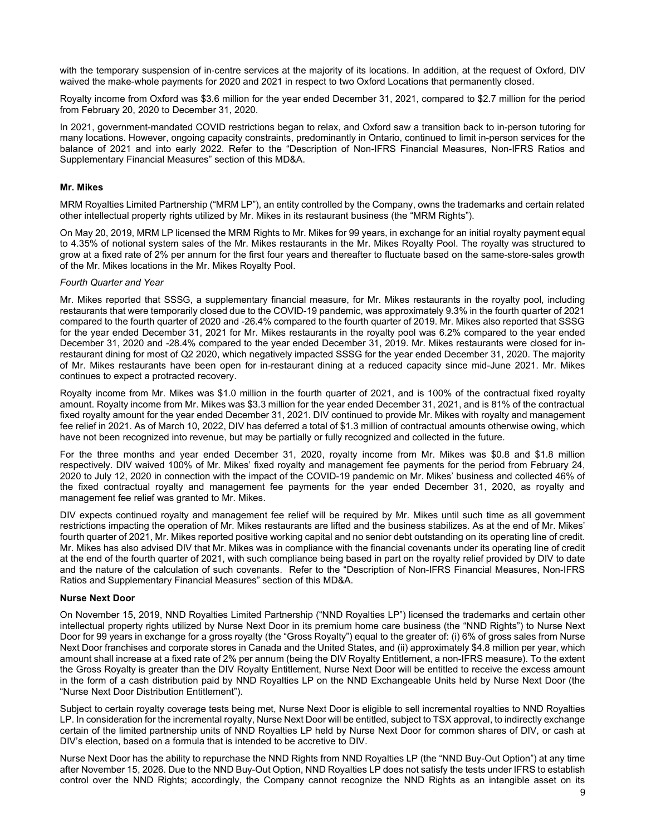with the temporary suspension of in-centre services at the majority of its locations. In addition, at the request of Oxford, DIV waived the make-whole payments for 2020 and 2021 in respect to two Oxford Locations that permanently closed.

Royalty income from Oxford was \$3.6 million for the year ended December 31, 2021, compared to \$2.7 million for the period from February 20, 2020 to December 31, 2020.

In 2021, government-mandated COVID restrictions began to relax, and Oxford saw a transition back to in-person tutoring for many locations. However, ongoing capacity constraints, predominantly in Ontario, continued to limit in-person services for the balance of 2021 and into early 2022. Refer to the "Description of Non-IFRS Financial Measures, Non-IFRS Ratios and Supplementary Financial Measures" section of this MD&A.

### Mr. Mikes

MRM Royalties Limited Partnership ("MRM LP"), an entity controlled by the Company, owns the trademarks and certain related other intellectual property rights utilized by Mr. Mikes in its restaurant business (the "MRM Rights").

On May 20, 2019, MRM LP licensed the MRM Rights to Mr. Mikes for 99 years, in exchange for an initial royalty payment equal to 4.35% of notional system sales of the Mr. Mikes restaurants in the Mr. Mikes Royalty Pool. The royalty was structured to grow at a fixed rate of 2% per annum for the first four years and thereafter to fluctuate based on the same-store-sales growth of the Mr. Mikes locations in the Mr. Mikes Royalty Pool.

### Fourth Quarter and Year

Mr. Mikes reported that SSSG, a supplementary financial measure, for Mr. Mikes restaurants in the royalty pool, including restaurants that were temporarily closed due to the COVID-19 pandemic, was approximately 9.3% in the fourth quarter of 2021 compared to the fourth quarter of 2020 and -26.4% compared to the fourth quarter of 2019. Mr. Mikes also reported that SSSG for the year ended December 31, 2021 for Mr. Mikes restaurants in the royalty pool was 6.2% compared to the year ended December 31, 2020 and -28.4% compared to the year ended December 31, 2019. Mr. Mikes restaurants were closed for inrestaurant dining for most of Q2 2020, which negatively impacted SSSG for the year ended December 31, 2020. The majority of Mr. Mikes restaurants have been open for in-restaurant dining at a reduced capacity since mid-June 2021. Mr. Mikes continues to expect a protracted recovery.

Royalty income from Mr. Mikes was \$1.0 million in the fourth quarter of 2021, and is 100% of the contractual fixed royalty amount. Royalty income from Mr. Mikes was \$3.3 million for the year ended December 31, 2021, and is 81% of the contractual fixed royalty amount for the year ended December 31, 2021. DIV continued to provide Mr. Mikes with royalty and management fee relief in 2021. As of March 10, 2022, DIV has deferred a total of \$1.3 million of contractual amounts otherwise owing, which have not been recognized into revenue, but may be partially or fully recognized and collected in the future.

For the three months and year ended December 31, 2020, royalty income from Mr. Mikes was \$0.8 and \$1.8 million respectively. DIV waived 100% of Mr. Mikes' fixed royalty and management fee payments for the period from February 24, 2020 to July 12, 2020 in connection with the impact of the COVID-19 pandemic on Mr. Mikes' business and collected 46% of the fixed contractual royalty and management fee payments for the year ended December 31, 2020, as royalty and management fee relief was granted to Mr. Mikes.

DIV expects continued royalty and management fee relief will be required by Mr. Mikes until such time as all government restrictions impacting the operation of Mr. Mikes restaurants are lifted and the business stabilizes. As at the end of Mr. Mikes' fourth quarter of 2021, Mr. Mikes reported positive working capital and no senior debt outstanding on its operating line of credit. Mr. Mikes has also advised DIV that Mr. Mikes was in compliance with the financial covenants under its operating line of credit at the end of the fourth quarter of 2021, with such compliance being based in part on the royalty relief provided by DIV to date and the nature of the calculation of such covenants. Refer to the "Description of Non-IFRS Financial Measures, Non-IFRS Ratios and Supplementary Financial Measures" section of this MD&A.

#### Nurse Next Door

On November 15, 2019, NND Royalties Limited Partnership ("NND Royalties LP") licensed the trademarks and certain other intellectual property rights utilized by Nurse Next Door in its premium home care business (the "NND Rights") to Nurse Next Door for 99 years in exchange for a gross royalty (the "Gross Royalty") equal to the greater of: (i) 6% of gross sales from Nurse Next Door franchises and corporate stores in Canada and the United States, and (ii) approximately \$4.8 million per year, which amount shall increase at a fixed rate of 2% per annum (being the DIV Royalty Entitlement, a non-IFRS measure). To the extent the Gross Royalty is greater than the DIV Royalty Entitlement, Nurse Next Door will be entitled to receive the excess amount in the form of a cash distribution paid by NND Royalties LP on the NND Exchangeable Units held by Nurse Next Door (the "Nurse Next Door Distribution Entitlement").

Subject to certain royalty coverage tests being met, Nurse Next Door is eligible to sell incremental royalties to NND Royalties LP. In consideration for the incremental royalty, Nurse Next Door will be entitled, subject to TSX approval, to indirectly exchange certain of the limited partnership units of NND Royalties LP held by Nurse Next Door for common shares of DIV, or cash at DIV's election, based on a formula that is intended to be accretive to DIV.

Nurse Next Door has the ability to repurchase the NND Rights from NND Royalties LP (the "NND Buy-Out Option") at any time after November 15, 2026. Due to the NND Buy-Out Option, NND Royalties LP does not satisfy the tests under IFRS to establish control over the NND Rights; accordingly, the Company cannot recognize the NND Rights as an intangible asset on its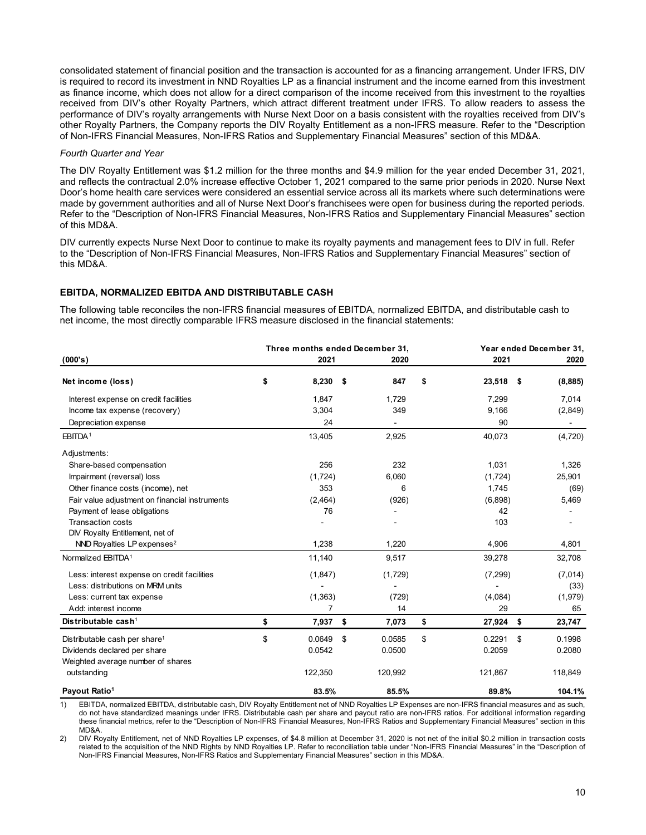consolidated statement of financial position and the transaction is accounted for as a financing arrangement. Under IFRS, DIV is required to record its investment in NND Royalties LP as a financial instrument and the income earned from this investment as finance income, which does not allow for a direct comparison of the income received from this investment to the royalties received from DIV's other Royalty Partners, which attract different treatment under IFRS. To allow readers to assess the performance of DIV's royalty arrangements with Nurse Next Door on a basis consistent with the royalties received from DIV's other Royalty Partners, the Company reports the DIV Royalty Entitlement as a non-IFRS measure. Refer to the "Description of Non-IFRS Financial Measures, Non-IFRS Ratios and Supplementary Financial Measures" section of this MD&A.

### Fourth Quarter and Year

# EBITDA, NORMALIZED EBITDA AND DISTRIBUTABLE CASH

| טווסטוועמנטט אמנטוווטות טרווומווטומו ponisuri and the transaction is accounted for as a mianuing anangoment. סוועטר וו דלט, ברע<br>is required to record its investment in NND Royalties LP as a financial instrument and the income earned from this investment<br>as finance income, which does not allow for a direct comparison of the income received from this investment to the royalties<br>received from DIV's other Royalty Partners, which attract different treatment under IFRS. To allow readers to assess the<br>performance of DIV's royalty arrangements with Nurse Next Door on a basis consistent with the royalties received from DIV's<br>other Royalty Partners, the Company reports the DIV Royalty Entitlement as a non-IFRS measure. Refer to the "Description<br>of Non-IFRS Financial Measures, Non-IFRS Ratios and Supplementary Financial Measures" section of this MD&A. |                   |                                 |              |      |                |                         |  |
|--------------------------------------------------------------------------------------------------------------------------------------------------------------------------------------------------------------------------------------------------------------------------------------------------------------------------------------------------------------------------------------------------------------------------------------------------------------------------------------------------------------------------------------------------------------------------------------------------------------------------------------------------------------------------------------------------------------------------------------------------------------------------------------------------------------------------------------------------------------------------------------------------------|-------------------|---------------------------------|--------------|------|----------------|-------------------------|--|
| Fourth Quarter and Year                                                                                                                                                                                                                                                                                                                                                                                                                                                                                                                                                                                                                                                                                                                                                                                                                                                                                |                   |                                 |              |      |                |                         |  |
| The DIV Royalty Entitlement was \$1.2 million for the three months and \$4.9 million for the year ended December 31, 2021,<br>and reflects the contractual 2.0% increase effective October 1, 2021 compared to the same prior periods in 2020. Nurse Next<br>Door's home health care services were considered an essential service across all its markets where such determinations were<br>made by government authorities and all of Nurse Next Door's franchisees were open for business during the reported periods.<br>Refer to the "Description of Non-IFRS Financial Measures, Non-IFRS Ratios and Supplementary Financial Measures" section<br>of this MD&A.                                                                                                                                                                                                                                    |                   |                                 |              |      |                |                         |  |
| DIV currently expects Nurse Next Door to continue to make its royalty payments and management fees to DIV in full. Refer<br>to the "Description of Non-IFRS Financial Measures, Non-IFRS Ratios and Supplementary Financial Measures" section of<br>this MD&A.                                                                                                                                                                                                                                                                                                                                                                                                                                                                                                                                                                                                                                         |                   |                                 |              |      |                |                         |  |
| EBITDA, NORMALIZED EBITDA AND DISTRIBUTABLE CASH                                                                                                                                                                                                                                                                                                                                                                                                                                                                                                                                                                                                                                                                                                                                                                                                                                                       |                   |                                 |              |      |                |                         |  |
| The following table reconciles the non-IFRS financial measures of EBITDA, normalized EBITDA, and distributable cash to<br>net income, the most directly comparable IFRS measure disclosed in the financial statements:                                                                                                                                                                                                                                                                                                                                                                                                                                                                                                                                                                                                                                                                                 |                   | Three months ended December 31, |              |      |                | Year ended December 31, |  |
| (000's)                                                                                                                                                                                                                                                                                                                                                                                                                                                                                                                                                                                                                                                                                                                                                                                                                                                                                                | 2021              |                                 | 2020         |      | 2021           | 2020                    |  |
| Net income (loss)                                                                                                                                                                                                                                                                                                                                                                                                                                                                                                                                                                                                                                                                                                                                                                                                                                                                                      | \$<br>$8,230$ \$  |                                 | 847          | - 56 | 23,518 \$      | (8,885)                 |  |
| Interest expense on credit facilities<br>Income tax expense (recovery)                                                                                                                                                                                                                                                                                                                                                                                                                                                                                                                                                                                                                                                                                                                                                                                                                                 | 1,847<br>3,304    |                                 | 1,729<br>349 |      | 7,299<br>9,166 | 7,014<br>(2,849)        |  |
| Depreciation expense                                                                                                                                                                                                                                                                                                                                                                                                                                                                                                                                                                                                                                                                                                                                                                                                                                                                                   | 24                |                                 | $\sim$       |      | 90             | $\sim$                  |  |
| EBITDA <sup>1</sup>                                                                                                                                                                                                                                                                                                                                                                                                                                                                                                                                                                                                                                                                                                                                                                                                                                                                                    | 13,405            |                                 | 2,925        |      | 40,073         | (4,720)                 |  |
| Adjustments:                                                                                                                                                                                                                                                                                                                                                                                                                                                                                                                                                                                                                                                                                                                                                                                                                                                                                           |                   |                                 |              |      |                |                         |  |
| Share-based compensation                                                                                                                                                                                                                                                                                                                                                                                                                                                                                                                                                                                                                                                                                                                                                                                                                                                                               | 256               |                                 | 232          |      | 1,031          | 1,326                   |  |
| Impairment (reversal) loss                                                                                                                                                                                                                                                                                                                                                                                                                                                                                                                                                                                                                                                                                                                                                                                                                                                                             | (1, 724)          |                                 | 6,060        |      | (1,724)        | 25,901                  |  |
| Other finance costs (income), net                                                                                                                                                                                                                                                                                                                                                                                                                                                                                                                                                                                                                                                                                                                                                                                                                                                                      | 353               |                                 | 6            |      | 1,745          | (69)                    |  |
| Fair value adjustment on financial instruments                                                                                                                                                                                                                                                                                                                                                                                                                                                                                                                                                                                                                                                                                                                                                                                                                                                         | (2, 464)          |                                 | (926)        |      | (6,898)        | 5,469                   |  |
| Payment of lease obligations                                                                                                                                                                                                                                                                                                                                                                                                                                                                                                                                                                                                                                                                                                                                                                                                                                                                           | 76                |                                 |              |      | 42             |                         |  |
| Transaction costs                                                                                                                                                                                                                                                                                                                                                                                                                                                                                                                                                                                                                                                                                                                                                                                                                                                                                      |                   |                                 |              |      | 103            |                         |  |
| DIV Royalty Entitlement, net of                                                                                                                                                                                                                                                                                                                                                                                                                                                                                                                                                                                                                                                                                                                                                                                                                                                                        |                   |                                 |              |      |                |                         |  |
| NND Royalties LP expenses <sup>2</sup>                                                                                                                                                                                                                                                                                                                                                                                                                                                                                                                                                                                                                                                                                                                                                                                                                                                                 | 1,238             |                                 | 1,220        |      | 4,906          | 4,801                   |  |
| Normalized EBITDA <sup>1</sup>                                                                                                                                                                                                                                                                                                                                                                                                                                                                                                                                                                                                                                                                                                                                                                                                                                                                         | 11,140            |                                 | 9,517        |      | 39,278         | 32,708                  |  |
| Less: interest expense on credit facilities                                                                                                                                                                                                                                                                                                                                                                                                                                                                                                                                                                                                                                                                                                                                                                                                                                                            | (1,847)           |                                 | (1,729)      |      | (7,299)        | (7,014)                 |  |
| Less: distributions on MRM units                                                                                                                                                                                                                                                                                                                                                                                                                                                                                                                                                                                                                                                                                                                                                                                                                                                                       |                   |                                 | $\sim$       |      |                | (33)                    |  |
| Less: current tax expense                                                                                                                                                                                                                                                                                                                                                                                                                                                                                                                                                                                                                                                                                                                                                                                                                                                                              | (1, 363)          |                                 | (729)        |      | (4,084)        | (1,979)                 |  |
| Add: interest income                                                                                                                                                                                                                                                                                                                                                                                                                                                                                                                                                                                                                                                                                                                                                                                                                                                                                   | 7                 |                                 | 14           |      | 29             | 65                      |  |
| Distributable cash <sup>1</sup>                                                                                                                                                                                                                                                                                                                                                                                                                                                                                                                                                                                                                                                                                                                                                                                                                                                                        | \$<br>7,937 \$    |                                 | 7,073        | \$   | 27,924 \$      | 23,747                  |  |
| Distributable cash per share <sup>1</sup>                                                                                                                                                                                                                                                                                                                                                                                                                                                                                                                                                                                                                                                                                                                                                                                                                                                              | \$<br>$0.0649$ \$ |                                 | 0.0585       | \$   | $0.2291$ \$    | 0.1998                  |  |
| Dividends declared per share<br>Weighted average number of shares                                                                                                                                                                                                                                                                                                                                                                                                                                                                                                                                                                                                                                                                                                                                                                                                                                      | 0.0542            |                                 | 0.0500       |      | 0.2059         | 0.2080                  |  |
| outstanding                                                                                                                                                                                                                                                                                                                                                                                                                                                                                                                                                                                                                                                                                                                                                                                                                                                                                            | 122,350           |                                 | 120,992      |      | 121,867        | 118,849                 |  |
| Payout Ratio <sup>1</sup>                                                                                                                                                                                                                                                                                                                                                                                                                                                                                                                                                                                                                                                                                                                                                                                                                                                                              | 83.5%             |                                 | 85.5%        |      | 89.8%          | 104.1%                  |  |
| EBITDA, normalized EBITDA, distributable cash, DIV Royalty Entitlement net of NND Royalties LP Expenses are non-IFRS financial measures and as such,<br>1)<br>do not have standardized meanings under IFRS. Distributable cash per share and payout ratio are non-IFRS ratios. For additional information regarding<br>these financial metrics, refer to the "Description of Non-IFRS Financial Measures, Non-IFRS Ratios and Supplementary Financial Measures" section in this<br>MD&A.<br>2)<br>DIV Royalty Entitlement, net of NND Royalties LP expenses, of \$4.8 million at December 31, 2020 is not net of the initial \$0.2 million in transaction costs<br>related to the acquisition of the NND Rights by NND Royalties LP. Refer to reconciliation table under "Non-IFRS Financial Measures" in the "Description of                                                                          |                   |                                 |              |      |                |                         |  |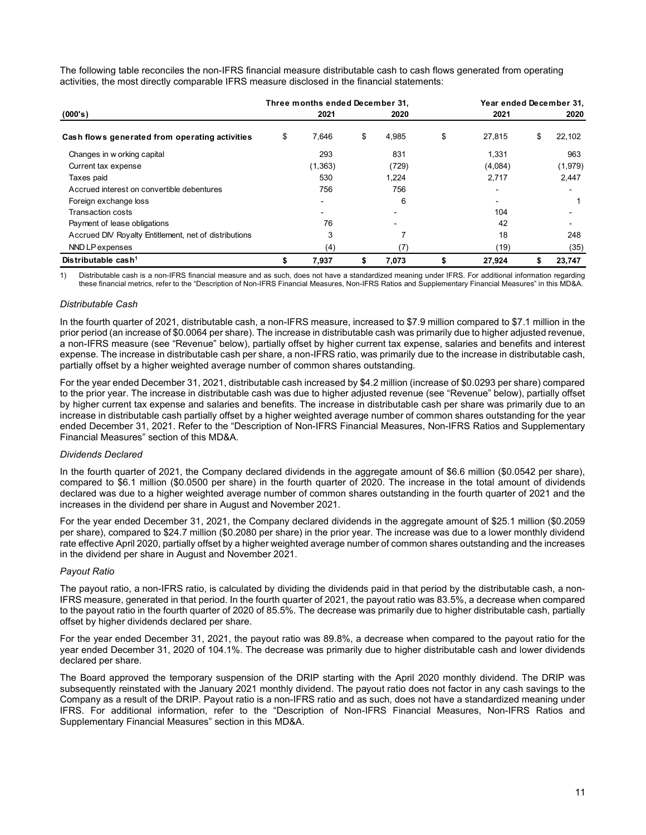| The following table reconciles the non-IFRS financial measure distributable cash to cash flows generated from operating |                                 |                    |                      |                         |
|-------------------------------------------------------------------------------------------------------------------------|---------------------------------|--------------------|----------------------|-------------------------|
| activities, the most directly comparable IFRS measure disclosed in the financial statements:                            |                                 |                    |                      |                         |
|                                                                                                                         |                                 |                    |                      | Year ended December 31, |
|                                                                                                                         |                                 |                    |                      |                         |
|                                                                                                                         | Three months ended December 31, |                    |                      |                         |
| (000's)                                                                                                                 | 2021                            | 2020               | 2021                 | 2020                    |
| Cash flows generated from operating activities                                                                          | \$<br>7,646                     | \$<br>4,985        | \$<br>27,815         | 22,102<br>\$            |
|                                                                                                                         | 293                             |                    |                      |                         |
| Changes in w orking capital                                                                                             |                                 | 831                | 1,331                | 963                     |
| Current tax expense                                                                                                     | (1, 363)<br>530                 | (729)              | (4,084)              | (1,979)<br>2,447        |
| Taxes paid                                                                                                              |                                 | 1,224              | 2,717<br>$\sim$      |                         |
| Accrued interest on convertible debentures                                                                              | 756                             | 756                | $\blacksquare$       |                         |
| Foreign exchange loss                                                                                                   |                                 | 6                  |                      |                         |
| Transaction costs                                                                                                       |                                 |                    | 104                  | in 1919.                |
| Payment of lease obligations                                                                                            | 76                              |                    | 42                   |                         |
| Accrued DIV Royalty Entitlement, net of distributions                                                                   | 3                               | $\overline{7}$     | 18                   | 248                     |
| NND LP expenses<br>Distributable cash <sup>1</sup>                                                                      | \$<br>(4)<br>7,937              | \$<br>(7)<br>7,073 | \$<br>(19)<br>27,924 | (35)<br>23,747<br>\$    |

# Distributable Cash

In the fourth quarter of 2021, distributable cash, a non-IFRS measure, increased to \$7.9 million compared to \$7.1 million in the prior period (an increase of \$0.0064 per share). The increase in distributable cash was primarily due to higher adjusted revenue, a non-IFRS measure (see "Revenue" below), partially offset by higher current tax expense, salaries and benefits and interest expense. The increase in distributable cash per share, a non-IFRS ratio, was primarily due to the increase in distributable cash, partially offset by a higher weighted average number of common shares outstanding.

For the year ended December 31, 2021, distributable cash increased by \$4.2 million (increase of \$0.0293 per share) compared to the prior year. The increase in distributable cash was due to higher adjusted revenue (see "Revenue" below), partially offset by higher current tax expense and salaries and benefits. The increase in distributable cash per share was primarily due to an increase in distributable cash partially offset by a higher weighted average number of common shares outstanding for the year ended December 31, 2021. Refer to the "Description of Non-IFRS Financial Measures, Non-IFRS Ratios and Supplementary Financial Measures" section of this MD&A.

# Dividends Declared

In the fourth quarter of 2021, the Company declared dividends in the aggregate amount of \$6.6 million (\$0.0542 per share), compared to \$6.1 million (\$0.0500 per share) in the fourth quarter of 2020. The increase in the total amount of dividends declared was due to a higher weighted average number of common shares outstanding in the fourth quarter of 2021 and the increases in the dividend per share in August and November 2021.

For the year ended December 31, 2021, the Company declared dividends in the aggregate amount of \$25.1 million (\$0.2059 per share), compared to \$24.7 million (\$0.2080 per share) in the prior year. The increase was due to a lower monthly dividend rate effective April 2020, partially offset by a higher weighted average number of common shares outstanding and the increases in the dividend per share in August and November 2021.

# Payout Ratio

The payout ratio, a non-IFRS ratio, is calculated by dividing the dividends paid in that period by the distributable cash, a non-IFRS measure, generated in that period. In the fourth quarter of 2021, the payout ratio was 83.5%, a decrease when compared to the payout ratio in the fourth quarter of 2020 of 85.5%. The decrease was primarily due to higher distributable cash, partially offset by higher dividends declared per share.

For the year ended December 31, 2021, the payout ratio was 89.8%, a decrease when compared to the payout ratio for the year ended December 31, 2020 of 104.1%. The decrease was primarily due to higher distributable cash and lower dividends declared per share.

The Board approved the temporary suspension of the DRIP starting with the April 2020 monthly dividend. The DRIP was subsequently reinstated with the January 2021 monthly dividend. The payout ratio does not factor in any cash savings to the Company as a result of the DRIP. Payout ratio is a non-IFRS ratio and as such, does not have a standardized meaning under IFRS. For additional information, refer to the "Description of Non-IFRS Financial Measures, Non-IFRS Ratios and Supplementary Financial Measures" section in this MD&A.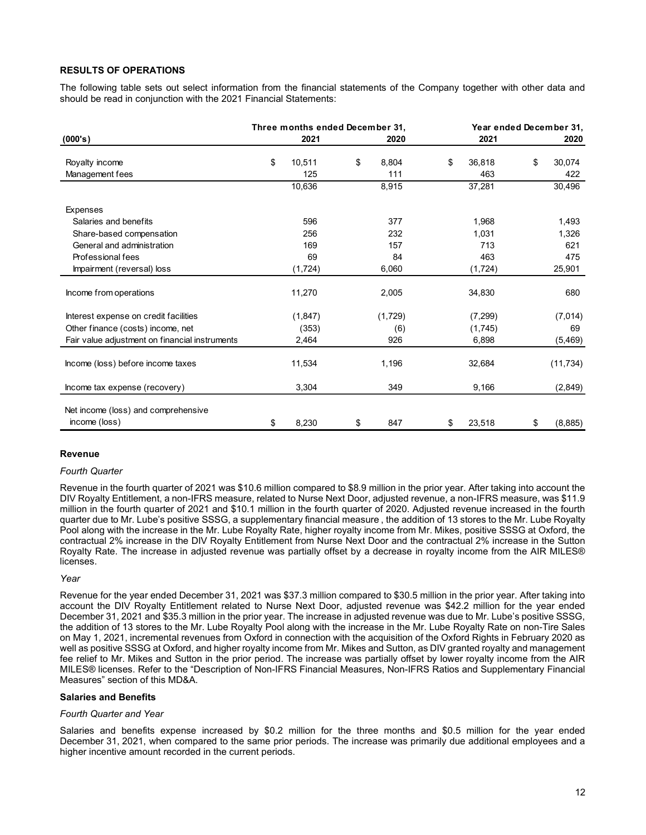# RESULTS OF OPERATIONS

| <b>RESULTS OF OPERATIONS</b>                                                                                                                                                                   |              |                                 |               |          |                         |
|------------------------------------------------------------------------------------------------------------------------------------------------------------------------------------------------|--------------|---------------------------------|---------------|----------|-------------------------|
|                                                                                                                                                                                                |              |                                 |               |          |                         |
| The following table sets out select information from the financial statements of the Company together with other data and<br>should be read in conjunction with the 2021 Financial Statements: |              |                                 |               |          |                         |
|                                                                                                                                                                                                |              |                                 |               |          |                         |
|                                                                                                                                                                                                |              |                                 |               |          |                         |
|                                                                                                                                                                                                |              | Three months ended December 31, |               |          | Year ended December 31, |
| (000's)                                                                                                                                                                                        | 2021         | 2020                            |               | 2021     | 2020                    |
| Royalty income                                                                                                                                                                                 | \$<br>10,511 | \$<br>8,804                     | \$            | 36,818   | 30,074<br>\$            |
| Management fees                                                                                                                                                                                | 125          | 111                             |               | 463      | 422                     |
|                                                                                                                                                                                                | 10,636       | 8,915                           |               | 37,281   | 30,496                  |
|                                                                                                                                                                                                |              |                                 |               |          |                         |
| Expenses                                                                                                                                                                                       |              |                                 |               |          |                         |
| Salaries and benefits                                                                                                                                                                          | 596          | 377                             |               | 1,968    | 1,493                   |
| Share-based compensation                                                                                                                                                                       | 256          | 232                             |               | 1,031    | 1,326                   |
| General and administration                                                                                                                                                                     | 169          | 157                             |               | 713      | 621                     |
| Professional fees                                                                                                                                                                              | 69           | 84                              |               | 463      | 475                     |
| Impairment (reversal) loss                                                                                                                                                                     | (1, 724)     | 6,060                           |               | (1, 724) | 25,901                  |
|                                                                                                                                                                                                |              |                                 |               |          |                         |
| Income from operations                                                                                                                                                                         | 11,270       | 2,005                           |               | 34,830   | 680                     |
| Interest expense on credit facilities                                                                                                                                                          | (1, 847)     | (1,729)                         |               | (7, 299) | (7,014)                 |
| Other finance (costs) income, net                                                                                                                                                              | (353)        | (6)                             |               | (1,745)  | 69                      |
| Fair value adjustment on financial instruments                                                                                                                                                 | 2,464        | 926                             |               | 6,898    | (5, 469)                |
|                                                                                                                                                                                                |              |                                 |               |          |                         |
| Income (loss) before income taxes                                                                                                                                                              | 11,534       | 1,196                           |               | 32,684   | (11, 734)               |
|                                                                                                                                                                                                |              |                                 |               |          |                         |
| Income tax expense (recovery)                                                                                                                                                                  | 3,304        | 349                             |               | 9,166    | (2,849)                 |
|                                                                                                                                                                                                |              |                                 |               |          |                         |
|                                                                                                                                                                                                |              |                                 |               |          |                         |
| Net income (loss) and comprehensive<br>income (loss)                                                                                                                                           | \$<br>8,230  | \$<br>847                       | $\frac{1}{2}$ | 23,518   | (8,885)<br>\$           |

# Revenue

#### Fourth Quarter

Revenue in the fourth quarter of 2021 was \$10.6 million compared to \$8.9 million in the prior year. After taking into account the DIV Royalty Entitlement, a non-IFRS measure, related to Nurse Next Door, adjusted revenue, a non-IFRS measure, was \$11.9 million in the fourth quarter of 2021 and \$10.1 million in the fourth quarter of 2020. Adjusted revenue increased in the fourth quarter due to Mr. Lube's positive SSSG, a supplementary financial measure , the addition of 13 stores to the Mr. Lube Royalty Pool along with the increase in the Mr. Lube Royalty Rate, higher royalty income from Mr. Mikes, positive SSSG at Oxford, the contractual 2% increase in the DIV Royalty Entitlement from Nurse Next Door and the contractual 2% increase in the Sutton Royalty Rate. The increase in adjusted revenue was partially offset by a decrease in royalty income from the AIR MILES® licenses.

#### Year

Revenue for the year ended December 31, 2021 was \$37.3 million compared to \$30.5 million in the prior year. After taking into account the DIV Royalty Entitlement related to Nurse Next Door, adjusted revenue was \$42.2 million for the year ended December 31, 2021 and \$35.3 million in the prior year. The increase in adjusted revenue was due to Mr. Lube's positive SSSG, the addition of 13 stores to the Mr. Lube Royalty Pool along with the increase in the Mr. Lube Royalty Rate on non-Tire Sales on May 1, 2021, incremental revenues from Oxford in connection with the acquisition of the Oxford Rights in February 2020 as well as positive SSSG at Oxford, and higher royalty income from Mr. Mikes and Sutton, as DIV granted royalty and management fee relief to Mr. Mikes and Sutton in the prior period. The increase was partially offset by lower royalty income from the AIR MILES® licenses. Refer to the "Description of Non-IFRS Financial Measures, Non-IFRS Ratios and Supplementary Financial Measures" section of this MD&A.

# Salaries and Benefits

#### Fourth Quarter and Year

Salaries and benefits expense increased by \$0.2 million for the three months and \$0.5 million for the year ended December 31, 2021, when compared to the same prior periods. The increase was primarily due additional employees and a higher incentive amount recorded in the current periods.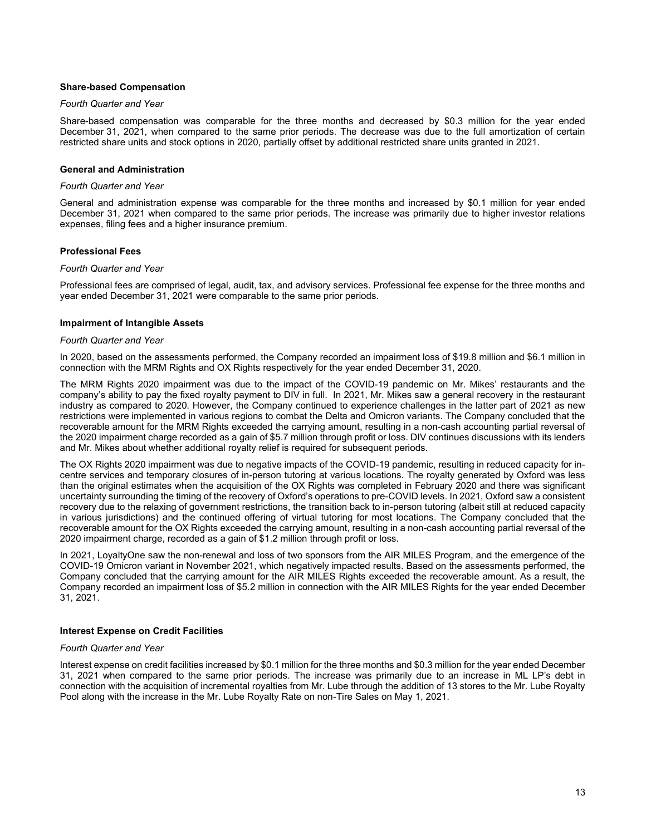### Share-based Compensation

### Fourth Quarter and Year

Share-based compensation was comparable for the three months and decreased by \$0.3 million for the year ended December 31, 2021, when compared to the same prior periods. The decrease was due to the full amortization of certain restricted share units and stock options in 2020, partially offset by additional restricted share units granted in 2021.

### General and Administration

#### Fourth Quarter and Year

General and administration expense was comparable for the three months and increased by \$0.1 million for year ended December 31, 2021 when compared to the same prior periods. The increase was primarily due to higher investor relations expenses, filing fees and a higher insurance premium.

# Professional Fees

#### Fourth Quarter and Year

Professional fees are comprised of legal, audit, tax, and advisory services. Professional fee expense for the three months and year ended December 31, 2021 were comparable to the same prior periods.

### Impairment of Intangible Assets

### Fourth Quarter and Year

In 2020, based on the assessments performed, the Company recorded an impairment loss of \$19.8 million and \$6.1 million in connection with the MRM Rights and OX Rights respectively for the year ended December 31, 2020.

The MRM Rights 2020 impairment was due to the impact of the COVID-19 pandemic on Mr. Mikes' restaurants and the company's ability to pay the fixed royalty payment to DIV in full. In 2021, Mr. Mikes saw a general recovery in the restaurant industry as compared to 2020. However, the Company continued to experience challenges in the latter part of 2021 as new restrictions were implemented in various regions to combat the Delta and Omicron variants. The Company concluded that the recoverable amount for the MRM Rights exceeded the carrying amount, resulting in a non-cash accounting partial reversal of the 2020 impairment charge recorded as a gain of \$5.7 million through profit or loss. DIV continues discussions with its lenders and Mr. Mikes about whether additional royalty relief is required for subsequent periods.

The OX Rights 2020 impairment was due to negative impacts of the COVID-19 pandemic, resulting in reduced capacity for incentre services and temporary closures of in-person tutoring at various locations. The royalty generated by Oxford was less than the original estimates when the acquisition of the OX Rights was completed in February 2020 and there was significant uncertainty surrounding the timing of the recovery of Oxford's operations to pre-COVID levels. In 2021, Oxford saw a consistent recovery due to the relaxing of government restrictions, the transition back to in-person tutoring (albeit still at reduced capacity in various jurisdictions) and the continued offering of virtual tutoring for most locations. The Company concluded that the recoverable amount for the OX Rights exceeded the carrying amount, resulting in a non-cash accounting partial reversal of the 2020 impairment charge, recorded as a gain of \$1.2 million through profit or loss.

In 2021, LoyaltyOne saw the non-renewal and loss of two sponsors from the AIR MILES Program, and the emergence of the COVID-19 Omicron variant in November 2021, which negatively impacted results. Based on the assessments performed, the Company concluded that the carrying amount for the AIR MILES Rights exceeded the recoverable amount. As a result, the Company recorded an impairment loss of \$5.2 million in connection with the AIR MILES Rights for the year ended December 31, 2021.

# Interest Expense on Credit Facilities

#### Fourth Quarter and Year

Interest expense on credit facilities increased by \$0.1 million for the three months and \$0.3 million for the year ended December 31, 2021 when compared to the same prior periods. The increase was primarily due to an increase in ML LP's debt in connection with the acquisition of incremental royalties from Mr. Lube through the addition of 13 stores to the Mr. Lube Royalty Pool along with the increase in the Mr. Lube Royalty Rate on non-Tire Sales on May 1, 2021.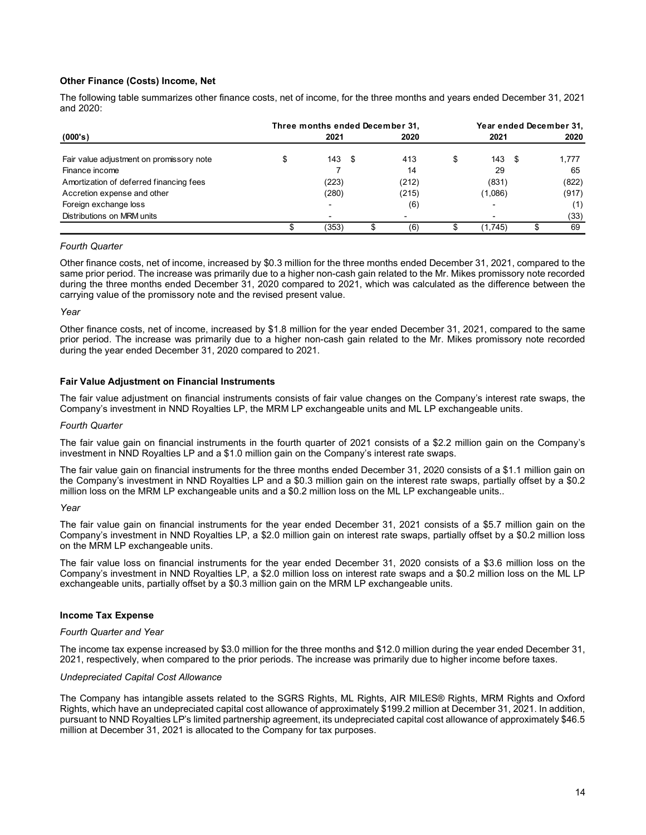# Other Finance (Costs) Income, Net

# Fourth Quarter

Other finance costs, net of income, increased by \$0.3 million for the three months ended December 31, 2021, compared to the same prior period. The increase was primarily due to a higher non-cash gain related to the Mr. Mikes promissory note recorded during the three months ended December 31, 2020 compared to 2021, which was calculated as the difference between the carrying value of the promissory note and the revised present value.

### Year

Other finance costs, net of income, increased by \$1.8 million for the year ended December 31, 2021, compared to the same prior period. The increase was primarily due to a higher non-cash gain related to the Mr. Mikes promissory note recorded during the year ended December 31, 2020 compared to 2021.

# Fair Value Adjustment on Financial Instruments

The fair value adjustment on financial instruments consists of fair value changes on the Company's interest rate swaps, the Company's investment in NND Royalties LP, the MRM LP exchangeable units and ML LP exchangeable units.

#### Fourth Quarter

The fair value gain on financial instruments in the fourth quarter of 2021 consists of a \$2.2 million gain on the Company's investment in NND Royalties LP and a \$1.0 million gain on the Company's interest rate swaps.

The fair value gain on financial instruments for the three months ended December 31, 2020 consists of a \$1.1 million gain on the Company's investment in NND Royalties LP and a \$0.3 million gain on the interest rate swaps, partially offset by a \$0.2 million loss on the MRM LP exchangeable units and a \$0.2 million loss on the ML LP exchangeable units..

### Year

The fair value gain on financial instruments for the year ended December 31, 2021 consists of a \$5.7 million gain on the Company's investment in NND Royalties LP, a \$2.0 million gain on interest rate swaps, partially offset by a \$0.2 million loss on the MRM LP exchangeable units.

The fair value loss on financial instruments for the year ended December 31, 2020 consists of a \$3.6 million loss on the Company's investment in NND Royalties LP, a \$2.0 million loss on interest rate swaps and a \$0.2 million loss on the ML LP exchangeable units, partially offset by a \$0.3 million gain on the MRM LP exchangeable units.

# Income Tax Expense

#### Fourth Quarter and Year

The income tax expense increased by \$3.0 million for the three months and \$12.0 million during the year ended December 31, 2021, respectively, when compared to the prior periods. The increase was primarily due to higher income before taxes.

#### Undepreciated Capital Cost Allowance

The Company has intangible assets related to the SGRS Rights, ML Rights, AIR MILES® Rights, MRM Rights and Oxford Rights, which have an undepreciated capital cost allowance of approximately \$199.2 million at December 31, 2021. In addition, pursuant to NND Royalties LP's limited partnership agreement, its undepreciated capital cost allowance of approximately \$46.5 million at December 31, 2021 is allocated to the Company for tax purposes.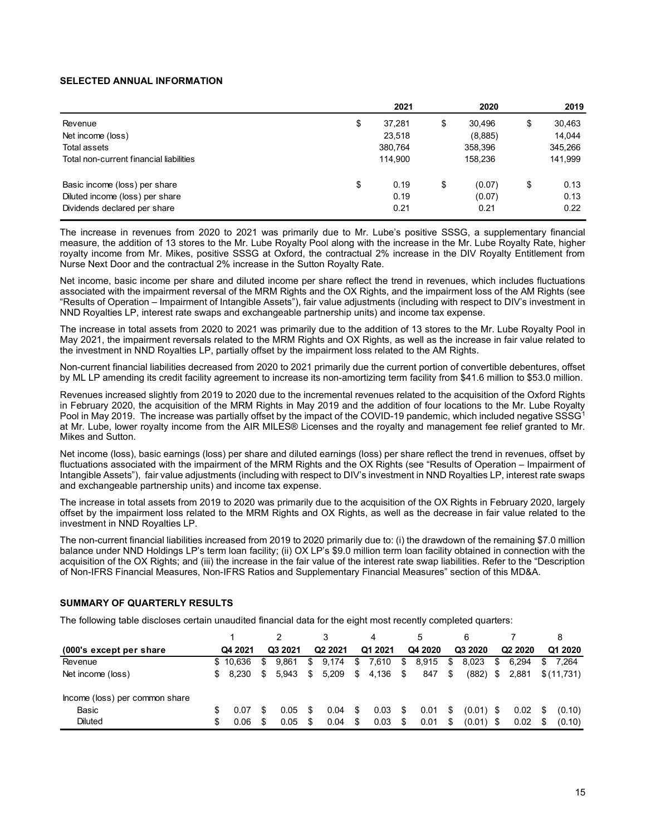### SELECTED ANNUAL INFORMATION

| <b>SELECTED ANNUAL INFORMATION</b>                      |              |              |              |
|---------------------------------------------------------|--------------|--------------|--------------|
|                                                         | 2021         | 2020         | 2019         |
| Revenue                                                 | \$<br>37,281 | \$<br>30,496 | \$<br>30,463 |
|                                                         |              | (8,885)      | 14,044       |
|                                                         |              |              |              |
| Net income (loss)                                       | 23,518       |              |              |
| Total assets<br>Total non-current financial liabilities | 380,764      | 358,396      | 345,266      |
|                                                         | 114,900      | 158,236      | 141,999      |
|                                                         | \$<br>0.19   | \$           | \$<br>0.13   |
| Basic income (loss) per share                           |              | (0.07)       |              |
|                                                         |              |              |              |
| Diluted income (loss) per share                         | 0.19         | (0.07)       | 0.13         |
| Dividends declared per share                            | 0.21         | 0.21         | 0.22         |

Net income, basic income per share and diluted income per share reflect the trend in revenues, which includes fluctuations associated with the impairment reversal of the MRM Rights and the OX Rights, and the impairment loss of the AM Rights (see "Results of Operation – Impairment of Intangible Assets"), fair value adjustments (including with respect to DIV's investment in NND Royalties LP, interest rate swaps and exchangeable partnership units) and income tax expense.

The increase in total assets from 2020 to 2021 was primarily due to the addition of 13 stores to the Mr. Lube Royalty Pool in May 2021, the impairment reversals related to the MRM Rights and OX Rights, as well as the increase in fair value related to the investment in NND Royalties LP, partially offset by the impairment loss related to the AM Rights.

# SUMMARY OF QUARTERLY RESULTS

| Non-current financial liabilities decreased from 2020 to 2021 primarily due the current portion of convertible debentures, offset<br>by ML LP amending its credit facility agreement to increase its non-amortizing term facility from \$41.6 million to \$53.0 million.                                                                                                                                                                                                                                                                             |          |      |                |     |                     |      |          |      |          |      |             |                     |     |            |
|------------------------------------------------------------------------------------------------------------------------------------------------------------------------------------------------------------------------------------------------------------------------------------------------------------------------------------------------------------------------------------------------------------------------------------------------------------------------------------------------------------------------------------------------------|----------|------|----------------|-----|---------------------|------|----------|------|----------|------|-------------|---------------------|-----|------------|
| Revenues increased slightly from 2019 to 2020 due to the incremental revenues related to the acquisition of the Oxford Rights<br>in February 2020, the acquisition of the MRM Rights in May 2019 and the addition of four locations to the Mr. Lube Royalty<br>Pool in May 2019. The increase was partially offset by the impact of the COVID-19 pandemic, which included negative SSSG <sup>1</sup><br>at Mr. Lube, lower royalty income from the AIR MILES® Licenses and the royalty and management fee relief granted to Mr.<br>Mikes and Sutton. |          |      |                |     |                     |      |          |      |          |      |             |                     |     |            |
| Net income (loss), basic earnings (loss) per share and diluted earnings (loss) per share reflect the trend in revenues, offset by<br>fluctuations associated with the impairment of the MRM Rights and the OX Rights (see "Results of Operation – Impairment of<br>Intangible Assets"), fair value adjustments (including with respect to DIV's investment in NND Royalties LP, interest rate swaps<br>and exchangeable partnership units) and income tax expense.                                                                                   |          |      |                |     |                     |      |          |      |          |      |             |                     |     |            |
| The increase in total assets from 2019 to 2020 was primarily due to the acquisition of the OX Rights in February 2020, largely<br>offset by the impairment loss related to the MRM Rights and OX Rights, as well as the decrease in fair value related to the<br>investment in NND Royalties LP.                                                                                                                                                                                                                                                     |          |      |                |     |                     |      |          |      |          |      |             |                     |     |            |
| The non-current financial liabilities increased from 2019 to 2020 primarily due to: (i) the drawdown of the remaining \$7.0 million<br>balance under NND Holdings LP's term loan facility; (ii) OX LP's \$9.0 million term loan facility obtained in connection with the                                                                                                                                                                                                                                                                             |          |      |                |     |                     |      |          |      |          |      |             |                     |     |            |
| acquisition of the OX Rights; and (iii) the increase in the fair value of the interest rate swap liabilities. Refer to the "Description<br>of Non-IFRS Financial Measures, Non-IFRS Ratios and Supplementary Financial Measures" section of this MD&A.                                                                                                                                                                                                                                                                                               |          |      |                |     |                     |      |          |      |          |      |             |                     |     |            |
| <b>SUMMARY OF QUARTERLY RESULTS</b>                                                                                                                                                                                                                                                                                                                                                                                                                                                                                                                  |          |      |                |     |                     |      |          |      |          |      |             |                     |     |            |
|                                                                                                                                                                                                                                                                                                                                                                                                                                                                                                                                                      |          |      |                |     |                     |      |          |      |          |      |             |                     |     |            |
|                                                                                                                                                                                                                                                                                                                                                                                                                                                                                                                                                      |          |      | $\overline{2}$ |     | 3                   |      |          |      |          |      | 6           | 7                   |     | 8          |
| (000's except per share                                                                                                                                                                                                                                                                                                                                                                                                                                                                                                                              | Q4 2021  |      | Q3 2021        |     | Q <sub>2</sub> 2021 |      | Q1 2021  |      | Q4 2020  |      | Q3 2020     | Q <sub>2</sub> 2020 |     | Q1 2020    |
| Revenue                                                                                                                                                                                                                                                                                                                                                                                                                                                                                                                                              | \$10,636 | \$   | 9,861          | \$  | 9,174               | \$   | 7,610 \$ |      | 8,915 \$ |      | 8,023       | \$<br>6,294         |     | \$7,264    |
| The following table discloses certain unaudited financial data for the eight most recently completed quarters:<br>Net income (loss)                                                                                                                                                                                                                                                                                                                                                                                                                  | 8,230    | \$   | 5,943          | \$  | 5,209               | - \$ | 4,136    | \$   | 847      | - \$ | $(882)$ \$  | 2,881               |     | \$(11,731) |
| Income (loss) per common share                                                                                                                                                                                                                                                                                                                                                                                                                                                                                                                       |          |      |                |     |                     |      |          |      |          |      |             |                     |     |            |
| Basic                                                                                                                                                                                                                                                                                                                                                                                                                                                                                                                                                | 0.07     | - \$ | 0.05           | -95 | 0.04                | -95  | 0.03     | - \$ | 0.01     | \$   | $(0.01)$ \$ | 0.02                | -95 | (0.10)     |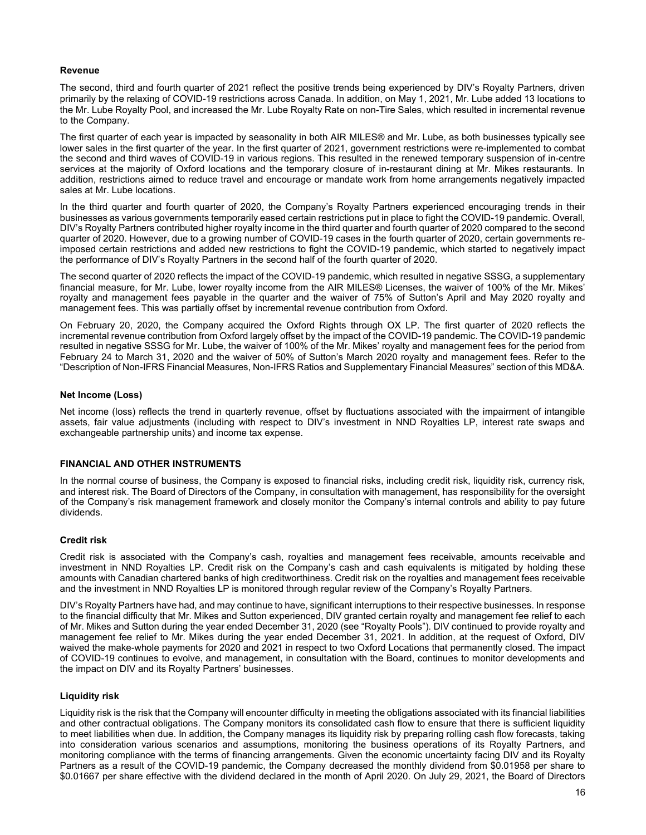# Revenue

The second, third and fourth quarter of 2021 reflect the positive trends being experienced by DIV's Royalty Partners, driven primarily by the relaxing of COVID-19 restrictions across Canada. In addition, on May 1, 2021, Mr. Lube added 13 locations to the Mr. Lube Royalty Pool, and increased the Mr. Lube Royalty Rate on non-Tire Sales, which resulted in incremental revenue to the Company.

The first quarter of each year is impacted by seasonality in both AIR MILES® and Mr. Lube, as both businesses typically see lower sales in the first quarter of the year. In the first quarter of 2021, government restrictions were re-implemented to combat the second and third waves of COVID-19 in various regions. This resulted in the renewed temporary suspension of in-centre services at the majority of Oxford locations and the temporary closure of in-restaurant dining at Mr. Mikes restaurants. In addition, restrictions aimed to reduce travel and encourage or mandate work from home arrangements negatively impacted sales at Mr. Lube locations.

In the third quarter and fourth quarter of 2020, the Company's Royalty Partners experienced encouraging trends in their businesses as various governments temporarily eased certain restrictions put in place to fight the COVID-19 pandemic. Overall, DIV's Royalty Partners contributed higher royalty income in the third quarter and fourth quarter of 2020 compared to the second quarter of 2020. However, due to a growing number of COVID-19 cases in the fourth quarter of 2020, certain governments reimposed certain restrictions and added new restrictions to fight the COVID-19 pandemic, which started to negatively impact the performance of DIV's Royalty Partners in the second half of the fourth quarter of 2020.

The second quarter of 2020 reflects the impact of the COVID-19 pandemic, which resulted in negative SSSG, a supplementary financial measure, for Mr. Lube, lower royalty income from the AIR MILES® Licenses, the waiver of 100% of the Mr. Mikes' royalty and management fees payable in the quarter and the waiver of 75% of Sutton's April and May 2020 royalty and management fees. This was partially offset by incremental revenue contribution from Oxford.

On February 20, 2020, the Company acquired the Oxford Rights through OX LP. The first quarter of 2020 reflects the incremental revenue contribution from Oxford largely offset by the impact of the COVID-19 pandemic. The COVID-19 pandemic resulted in negative SSSG for Mr. Lube, the waiver of 100% of the Mr. Mikes' royalty and management fees for the period from February 24 to March 31, 2020 and the waiver of 50% of Sutton's March 2020 royalty and management fees. Refer to the "Description of Non-IFRS Financial Measures, Non-IFRS Ratios and Supplementary Financial Measures" section of this MD&A.

### Net Income (Loss)

Net income (loss) reflects the trend in quarterly revenue, offset by fluctuations associated with the impairment of intangible assets, fair value adjustments (including with respect to DIV's investment in NND Royalties LP, interest rate swaps and exchangeable partnership units) and income tax expense.

# FINANCIAL AND OTHER INSTRUMENTS

In the normal course of business, the Company is exposed to financial risks, including credit risk, liquidity risk, currency risk, and interest risk. The Board of Directors of the Company, in consultation with management, has responsibility for the oversight of the Company's risk management framework and closely monitor the Company's internal controls and ability to pay future dividends.

# Credit risk

Credit risk is associated with the Company's cash, royalties and management fees receivable, amounts receivable and investment in NND Royalties LP. Credit risk on the Company's cash and cash equivalents is mitigated by holding these amounts with Canadian chartered banks of high creditworthiness. Credit risk on the royalties and management fees receivable and the investment in NND Royalties LP is monitored through regular review of the Company's Royalty Partners.

DIV's Royalty Partners have had, and may continue to have, significant interruptions to their respective businesses. In response to the financial difficulty that Mr. Mikes and Sutton experienced, DIV granted certain royalty and management fee relief to each of Mr. Mikes and Sutton during the year ended December 31, 2020 (see "Royalty Pools"). DIV continued to provide royalty and management fee relief to Mr. Mikes during the year ended December 31, 2021. In addition, at the request of Oxford, DIV waived the make-whole payments for 2020 and 2021 in respect to two Oxford Locations that permanently closed. The impact of COVID-19 continues to evolve, and management, in consultation with the Board, continues to monitor developments and the impact on DIV and its Royalty Partners' businesses.

#### Liquidity risk

Liquidity risk is the risk that the Company will encounter difficulty in meeting the obligations associated with its financial liabilities and other contractual obligations. The Company monitors its consolidated cash flow to ensure that there is sufficient liquidity to meet liabilities when due. In addition, the Company manages its liquidity risk by preparing rolling cash flow forecasts, taking into consideration various scenarios and assumptions, monitoring the business operations of its Royalty Partners, and monitoring compliance with the terms of financing arrangements. Given the economic uncertainty facing DIV and its Royalty Partners as a result of the COVID-19 pandemic, the Company decreased the monthly dividend from \$0.01958 per share to \$0.01667 per share effective with the dividend declared in the month of April 2020. On July 29, 2021, the Board of Directors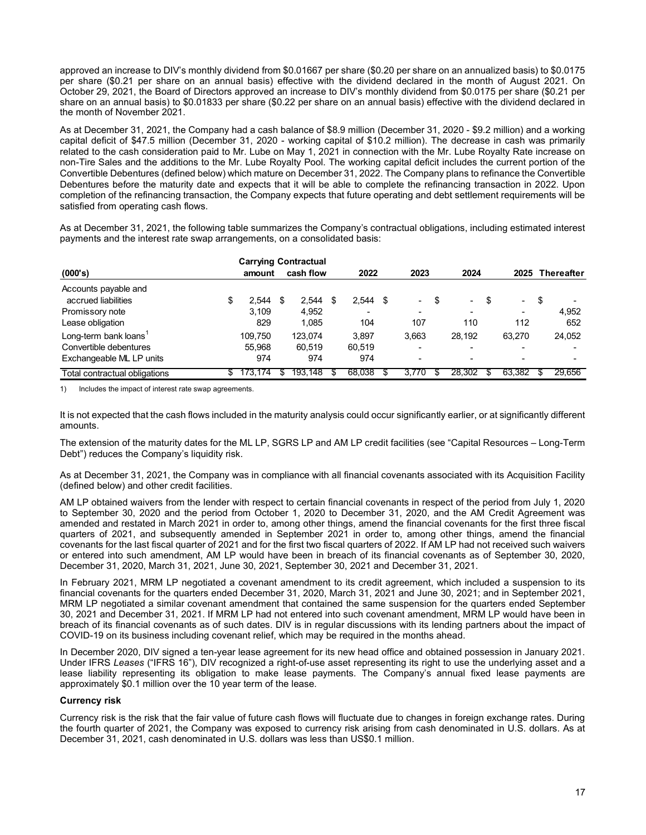As at December 31, 2021, the Company had a cash balance of \$8.9 million (December 31, 2020 - \$9.2 million) and a working capital deficit of \$47.5 million (December 31, 2020 - working capital of \$10.2 million). The decrease in cash was primarily related to the cash consideration paid to Mr. Lube on May 1, 2021 in connection with the Mr. Lube Royalty Rate increase on non-Tire Sales and the additions to the Mr. Lube Royalty Pool. The working capital deficit includes the current portion of the Convertible Debentures (defined below) which mature on December 31, 2022. The Company plans to refinance the Convertible Debentures before the maturity date and expects that it will be able to complete the refinancing transaction in 2022. Upon completion of the refinancing transaction, the Company expects that future operating and debt settlement requirements will be satisfied from operating cash flows. 6.0.1667 per share (\$0.20 per share on an annualized basis) to \$0.0175<br>
decity with the dividend decitared in the month of August 2021. On<br>
increase to DIV's monthly dividend from \$0.0175 per share (\$0.21 per<br>
22 per shar

| approved an increase to DIV's monthly dividend from \$0.01667 per share (\$0.20 per share on an annualized basis) to \$0.0175<br>per share (\$0.21 per share on an annual basis) effective with the dividend declared in the month of August 2021. On<br>October 29, 2021, the Board of Directors approved an increase to DIV's monthly dividend from \$0.0175 per share (\$0.21 per<br>share on an annual basis) to \$0.01833 per share (\$0.22 per share on an annual basis) effective with the dividend declared in<br>the month of November 2021.                                                                                                                                                                                                                                 |                                             |                                    |                                                              |                                |                     |                                                 |                              |
|---------------------------------------------------------------------------------------------------------------------------------------------------------------------------------------------------------------------------------------------------------------------------------------------------------------------------------------------------------------------------------------------------------------------------------------------------------------------------------------------------------------------------------------------------------------------------------------------------------------------------------------------------------------------------------------------------------------------------------------------------------------------------------------|---------------------------------------------|------------------------------------|--------------------------------------------------------------|--------------------------------|---------------------|-------------------------------------------------|------------------------------|
| As at December 31, 2021, the Company had a cash balance of \$8.9 million (December 31, 2020 - \$9.2 million) and a working<br>capital deficit of \$47.5 million (December 31, 2020 - working capital of \$10.2 million). The decrease in cash was primarily<br>related to the cash consideration paid to Mr. Lube on May 1, 2021 in connection with the Mr. Lube Royalty Rate increase on<br>non-Tire Sales and the additions to the Mr. Lube Royalty Pool. The working capital deficit includes the current portion of the<br>Convertible Debentures (defined below) which mature on December 31, 2022. The Company plans to refinance the Convertible<br>Debentures before the maturity date and expects that it will be able to complete the refinancing transaction in 2022. Upon |                                             |                                    |                                                              |                                |                     |                                                 |                              |
|                                                                                                                                                                                                                                                                                                                                                                                                                                                                                                                                                                                                                                                                                                                                                                                       |                                             |                                    |                                                              |                                |                     |                                                 |                              |
| completion of the refinancing transaction, the Company expects that future operating and debt settlement requirements will be<br>satisfied from operating cash flows.<br>As at December 31, 2021, the following table summarizes the Company's contractual obligations, including estimated interest<br>payments and the interest rate swap arrangements, on a consolidated basis:<br>(000's)                                                                                                                                                                                                                                                                                                                                                                                         | <b>Carrying Contractual</b><br>amount       | cash flow                          | 2022                                                         | 2023                           | 2024                |                                                 | 2025 Thereafter              |
| Accounts payable and<br>accrued liabilities<br>Promissory note<br>Lease obligation<br>Long-term bank loans <sup>1</sup>                                                                                                                                                                                                                                                                                                                                                                                                                                                                                                                                                                                                                                                               | \$<br>$2,544$ \$<br>3,109<br>829<br>109,750 | 2,544<br>4,952<br>1,085<br>123,074 | \$<br>$2,544$ \$<br>$\overline{\phantom{a}}$<br>104<br>3,897 | $\blacksquare$<br>107<br>3,663 | \$<br>110<br>28,192 | \$<br>$\overline{\phantom{a}}$<br>112<br>63,270 | \$<br>4,952<br>652<br>24,052 |
| Convertible debentures<br>Exchangeable ML LP units                                                                                                                                                                                                                                                                                                                                                                                                                                                                                                                                                                                                                                                                                                                                    | 55,968<br>974                               | 60,519<br>974                      | 60,519<br>974                                                |                                |                     |                                                 |                              |

It is not expected that the cash flows included in the maturity analysis could occur significantly earlier, or at significantly different amounts.

The extension of the maturity dates for the ML LP, SGRS LP and AM LP credit facilities (see "Capital Resources – Long-Term Debt") reduces the Company's liquidity risk.

As at December 31, 2021, the Company was in compliance with all financial covenants associated with its Acquisition Facility (defined below) and other credit facilities.

AM LP obtained waivers from the lender with respect to certain financial covenants in respect of the period from July 1, 2020 to September 30, 2020 and the period from October 1, 2020 to December 31, 2020, and the AM Credit Agreement was amended and restated in March 2021 in order to, among other things, amend the financial covenants for the first three fiscal quarters of 2021, and subsequently amended in September 2021 in order to, among other things, amend the financial covenants for the last fiscal quarter of 2021 and for the first two fiscal quarters of 2022. If AM LP had not received such waivers or entered into such amendment, AM LP would have been in breach of its financial covenants as of September 30, 2020, December 31, 2020, March 31, 2021, June 30, 2021, September 30, 2021 and December 31, 2021.

In February 2021, MRM LP negotiated a covenant amendment to its credit agreement, which included a suspension to its financial covenants for the quarters ended December 31, 2020, March 31, 2021 and June 30, 2021; and in September 2021, MRM LP negotiated a similar covenant amendment that contained the same suspension for the quarters ended September 30, 2021 and December 31, 2021. If MRM LP had not entered into such covenant amendment, MRM LP would have been in breach of its financial covenants as of such dates. DIV is in regular discussions with its lending partners about the impact of COVID-19 on its business including covenant relief, which may be required in the months ahead.

In December 2020, DIV signed a ten-year lease agreement for its new head office and obtained possession in January 2021. Under IFRS Leases ("IFRS 16"), DIV recognized a right-of-use asset representing its right to use the underlying asset and a lease liability representing its obligation to make lease payments. The Company's annual fixed lease payments are approximately \$0.1 million over the 10 year term of the lease.

# Currency risk

Currency risk is the risk that the fair value of future cash flows will fluctuate due to changes in foreign exchange rates. During the fourth quarter of 2021, the Company was exposed to currency risk arising from cash denominated in U.S. dollars. As at December 31, 2021, cash denominated in U.S. dollars was less than US\$0.1 million.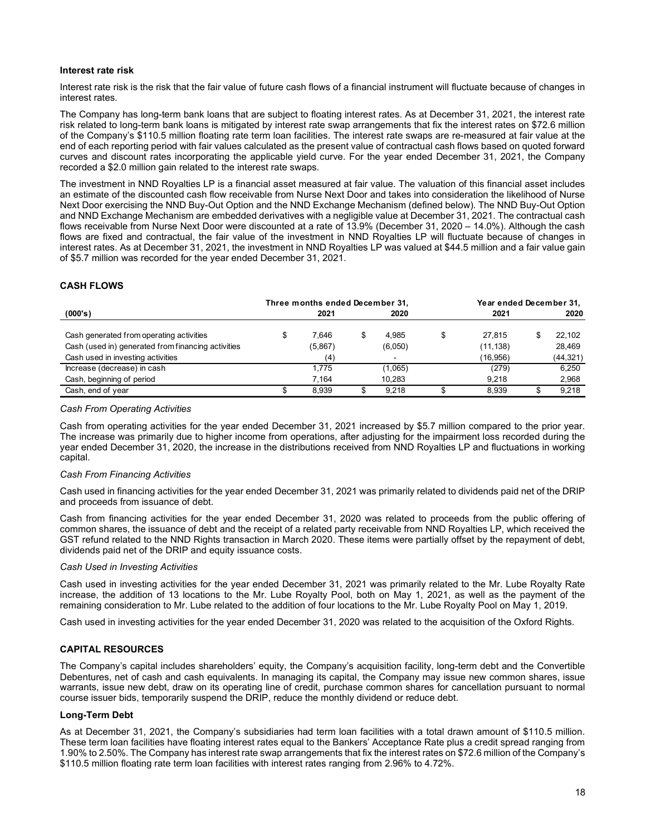# Interest rate risk

The investment in NND Royalties LP is a financial asset measured at fair value. The valuation of this financial asset includes an estimate of the discounted cash flow receivable from Nurse Next Door and takes into consideration the likelihood of Nurse Next Door exercising the NND Buy-Out Option and the NND Exchange Mechanism (defined below). The NND Buy-Out Option and NND Exchange Mechanism are embedded derivatives with a negligible value at December 31, 2021. The contractual cash flows receivable from Nurse Next Door were discounted at a rate of 13.9% (December 31, 2020 – 14.0%). Although the cash flows are fixed and contractual, the fair value of the investment in NND Royalties LP will fluctuate because of changes in interest rates. As at December 31, 2021, the investment in NND Royalties LP was valued at \$44.5 million and a fair value gain of \$5.7 million was recorded for the year ended December 31, 2021. structure cash flows of a financial instrument will fluctuate because of changes in<br>subject to floating interest rates. As at December 31, 2021, the interest rate<br>bland is mean angements that fix the interest rates on \$72. nterest rate risk<br>
therest rate risk that the fair value of future cash flows of a financial instrument will fluctuate because of changes in<br>
therest rate risk that the fair value of future cash flows of a financial instru

# CASH FLOWS

| Interest rate risk is the risk that the fair value of future cash flows of a financial instrument will fluctuate because of changes in                                                                                                                                                                                                                                                                                                                                                                                                                                                                                                                                                                                                   |                                                                                                                              |                        |                                       |                                     |
|------------------------------------------------------------------------------------------------------------------------------------------------------------------------------------------------------------------------------------------------------------------------------------------------------------------------------------------------------------------------------------------------------------------------------------------------------------------------------------------------------------------------------------------------------------------------------------------------------------------------------------------------------------------------------------------------------------------------------------------|------------------------------------------------------------------------------------------------------------------------------|------------------------|---------------------------------------|-------------------------------------|
| interest rates.                                                                                                                                                                                                                                                                                                                                                                                                                                                                                                                                                                                                                                                                                                                          |                                                                                                                              |                        |                                       |                                     |
| The Company has long-term bank loans that are subject to floating interest rates. As at December 31, 2021, the interest rate<br>risk related to long-term bank loans is mitigated by interest rate swap arrangements that fix the interest rates on \$72.6 million<br>of the Company's \$110.5 million floating rate term loan facilities. The interest rate swaps are re-measured at fair value at the<br>end of each reporting period with fair values calculated as the present value of contractual cash flows based on quoted forward<br>curves and discount rates incorporating the applicable yield curve. For the year ended December 31, 2021, the Company<br>recorded a \$2.0 million gain related to the interest rate swaps. |                                                                                                                              |                        |                                       |                                     |
|                                                                                                                                                                                                                                                                                                                                                                                                                                                                                                                                                                                                                                                                                                                                          | an estimate of the discounted cash flow receivable from Nurse Next Door and takes into consideration the likelihood of Nurse |                        |                                       |                                     |
| Next Door exercising the NND Buy-Out Option and the NND Exchange Mechanism (defined below). The NND Buy-Out Option<br>and NND Exchange Mechanism are embedded derivatives with a negligible value at December 31, 2021. The contractual cash<br>flows receivable from Nurse Next Door were discounted at a rate of 13.9% (December 31, 2020 - 14.0%). Although the cash<br>flows are fixed and contractual, the fair value of the investment in NND Royalties LP will fluctuate because of changes in<br>interest rates. As at December 31, 2021, the investment in NND Royalties LP was valued at \$44.5 million and a fair value gain<br>of \$5.7 million was recorded for the year ended December 31, 2021.<br><b>CASH FLOWS</b>      |                                                                                                                              |                        |                                       |                                     |
|                                                                                                                                                                                                                                                                                                                                                                                                                                                                                                                                                                                                                                                                                                                                          | Three months ended December 31,                                                                                              |                        | Year ended December 31.               |                                     |
| (000's)                                                                                                                                                                                                                                                                                                                                                                                                                                                                                                                                                                                                                                                                                                                                  | 2021                                                                                                                         | 2020                   | 2021                                  | 2020                                |
| Cash generated from operating activities<br>Cash (used in) generated from financing activities<br>Cash used in investing activities                                                                                                                                                                                                                                                                                                                                                                                                                                                                                                                                                                                                      | \$<br>7,646<br>(5,867)<br>(4)                                                                                                | \$<br>4,985<br>(6,050) | \$<br>27,815<br>(11, 138)<br>(16,956) | \$<br>22,102<br>28,469<br>(44, 321) |
| Increase (decrease) in cash                                                                                                                                                                                                                                                                                                                                                                                                                                                                                                                                                                                                                                                                                                              | 1,775                                                                                                                        | (1,065)                | (279)                                 | 6,250                               |
| Cash, beginning of period                                                                                                                                                                                                                                                                                                                                                                                                                                                                                                                                                                                                                                                                                                                | 7,164                                                                                                                        | 10,283                 | 9,218                                 | 2,968                               |

### Cash From Operating Activities

Cash from operating activities for the year ended December 31, 2021 increased by \$5.7 million compared to the prior year. The increase was primarily due to higher income from operations, after adjusting for the impairment loss recorded during the year ended December 31, 2020, the increase in the distributions received from NND Royalties LP and fluctuations in working capital.

#### Cash From Financing Activities

Cash used in financing activities for the year ended December 31, 2021 was primarily related to dividends paid net of the DRIP and proceeds from issuance of debt.

Cash from financing activities for the year ended December 31, 2020 was related to proceeds from the public offering of common shares, the issuance of debt and the receipt of a related party receivable from NND Royalties LP, which received the GST refund related to the NND Rights transaction in March 2020. These items were partially offset by the repayment of debt, dividends paid net of the DRIP and equity issuance costs.

#### Cash Used in Investing Activities

Cash used in investing activities for the year ended December 31, 2021 was primarily related to the Mr. Lube Royalty Rate increase, the addition of 13 locations to the Mr. Lube Royalty Pool, both on May 1, 2021, as well as the payment of the remaining consideration to Mr. Lube related to the addition of four locations to the Mr. Lube Royalty Pool on May 1, 2019.

Cash used in investing activities for the year ended December 31, 2020 was related to the acquisition of the Oxford Rights.

# CAPITAL RESOURCES

The Company's capital includes shareholders' equity, the Company's acquisition facility, long-term debt and the Convertible Debentures, net of cash and cash equivalents. In managing its capital, the Company may issue new common shares, issue warrants, issue new debt, draw on its operating line of credit, purchase common shares for cancellation pursuant to normal course issuer bids, temporarily suspend the DRIP, reduce the monthly dividend or reduce debt.

# Long-Term Debt

As at December 31, 2021, the Company's subsidiaries had term loan facilities with a total drawn amount of \$110.5 million. These term loan facilities have floating interest rates equal to the Bankers' Acceptance Rate plus a credit spread ranging from 1.90% to 2.50%. The Company has interest rate swap arrangements that fix the interest rates on \$72.6 million of the Company's \$110.5 million floating rate term loan facilities with interest rates ranging from 2.96% to 4.72%.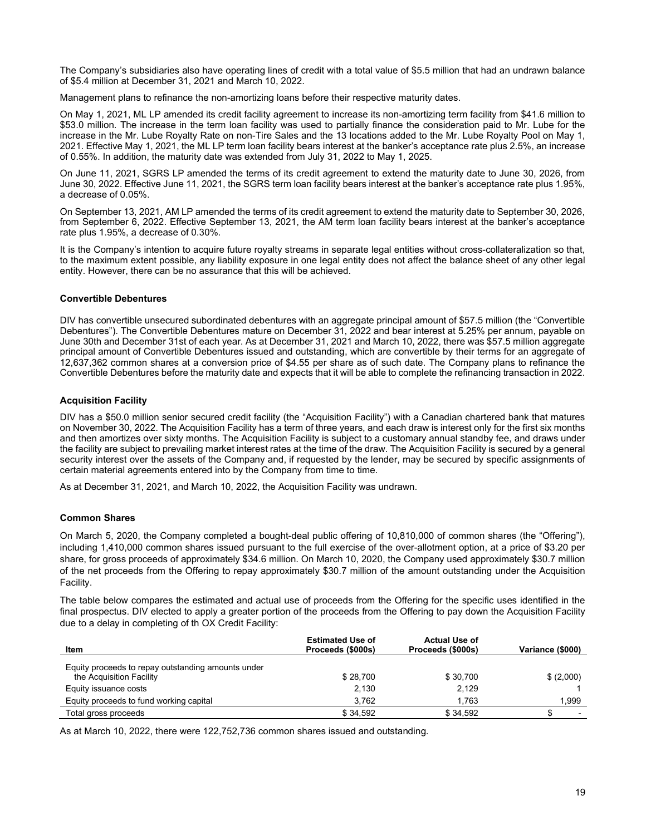The Company's subsidiaries also have operating lines of credit with a total value of \$5.5 million that had an undrawn balance of \$5.4 million at December 31, 2021 and March 10, 2022.

Management plans to refinance the non-amortizing loans before their respective maturity dates.

On May 1, 2021, ML LP amended its credit facility agreement to increase its non-amortizing term facility from \$41.6 million to \$53.0 million. The increase in the term loan facility was used to partially finance the consideration paid to Mr. Lube for the increase in the Mr. Lube Royalty Rate on non-Tire Sales and the 13 locations added to the Mr. Lube Royalty Pool on May 1, 2021. Effective May 1, 2021, the ML LP term loan facility bears interest at the banker's acceptance rate plus 2.5%, an increase of 0.55%. In addition, the maturity date was extended from July 31, 2022 to May 1, 2025.

On June 11, 2021, SGRS LP amended the terms of its credit agreement to extend the maturity date to June 30, 2026, from June 30, 2022. Effective June 11, 2021, the SGRS term loan facility bears interest at the banker's acceptance rate plus 1.95%, a decrease of 0.05%.

On September 13, 2021, AM LP amended the terms of its credit agreement to extend the maturity date to September 30, 2026, from September 6, 2022. Effective September 13, 2021, the AM term loan facility bears interest at the banker's acceptance rate plus 1.95%, a decrease of 0.30%.

It is the Company's intention to acquire future royalty streams in separate legal entities without cross-collateralization so that, to the maximum extent possible, any liability exposure in one legal entity does not affect the balance sheet of any other legal entity. However, there can be no assurance that this will be achieved.

# Convertible Debentures

DIV has convertible unsecured subordinated debentures with an aggregate principal amount of \$57.5 million (the "Convertible Debentures"). The Convertible Debentures mature on December 31, 2022 and bear interest at 5.25% per annum, payable on June 30th and December 31st of each year. As at December 31, 2021 and March 10, 2022, there was \$57.5 million aggregate principal amount of Convertible Debentures issued and outstanding, which are convertible by their terms for an aggregate of 12,637,362 common shares at a conversion price of \$4.55 per share as of such date. The Company plans to refinance the Convertible Debentures before the maturity date and expects that it will be able to complete the refinancing transaction in 2022.

# Acquisition Facility

DIV has a \$50.0 million senior secured credit facility (the "Acquisition Facility") with a Canadian chartered bank that matures on November 30, 2022. The Acquisition Facility has a term of three years, and each draw is interest only for the first six months and then amortizes over sixty months. The Acquisition Facility is subject to a customary annual standby fee, and draws under the facility are subject to prevailing market interest rates at the time of the draw. The Acquisition Facility is secured by a general security interest over the assets of the Company and, if requested by the lender, may be secured by specific assignments of certain material agreements entered into by the Company from time to time.

As at December 31, 2021, and March 10, 2022, the Acquisition Facility was undrawn.

# Common Shares

On March 5, 2020, the Company completed a bought-deal public offering of 10,810,000 of common shares (the "Offering"), including 1,410,000 common shares issued pursuant to the full exercise of the over-allotment option, at a price of \$3.20 per share, for gross proceeds of approximately \$34.6 million. On March 10, 2020, the Company used approximately \$30.7 million of the net proceeds from the Offering to repay approximately \$30.7 million of the amount outstanding under the Acquisition Facility.

The table below compares the estimated and actual use of proceeds from the Offering for the specific uses identified in the final prospectus. DIV elected to apply a greater portion of the proceeds from the Offering to pay down the Acquisition Facility due to a delay in completing of th OX Credit Facility:

| Item                                                                           | <b>Estimated Use of</b><br>Proceeds (\$000s) | <b>Actual Use of</b><br>Proceeds (\$000s) | Variance (\$000) |
|--------------------------------------------------------------------------------|----------------------------------------------|-------------------------------------------|------------------|
| Equity proceeds to repay outstanding amounts under<br>the Acquisition Facility | \$28.700                                     | \$30.700                                  | \$ (2,000)       |
| Equity issuance costs                                                          | 2.130                                        | 2,129                                     |                  |
| Equity proceeds to fund working capital                                        | 3.762                                        | 1,763                                     | 1,999            |
| Total gross proceeds                                                           | \$34.592                                     | \$34,592                                  |                  |

As at March 10, 2022, there were 122,752,736 common shares issued and outstanding.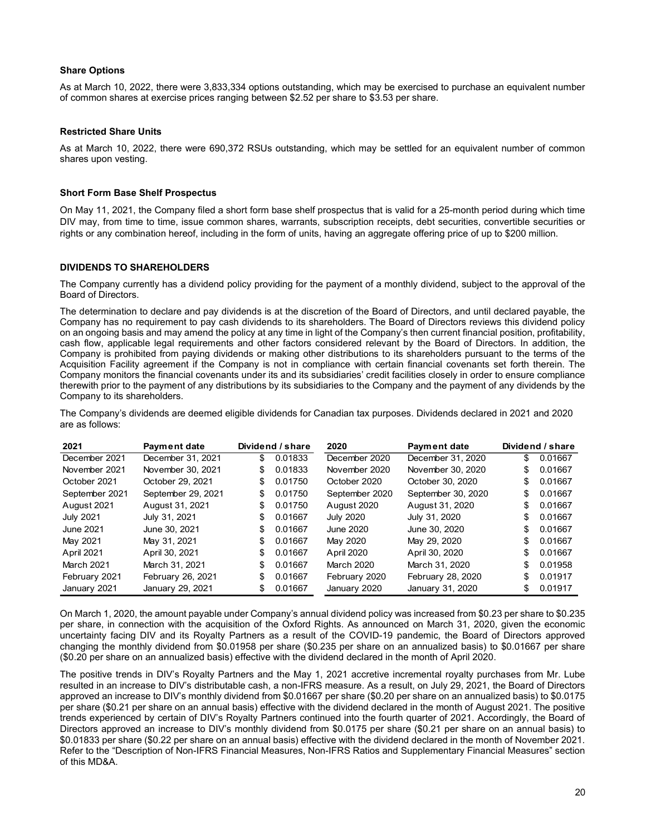# Share Options

As at March 10, 2022, there were 3,833,334 options outstanding, which may be exercised to purchase an equivalent number of common shares at exercise prices ranging between \$2.52 per share to \$3.53 per share.

# Restricted Share Units

As at March 10, 2022, there were 690,372 RSUs outstanding, which may be settled for an equivalent number of common shares upon vesting.

# Short Form Base Shelf Prospectus

# DIVIDENDS TO SHAREHOLDERS

The determination to declare and pay dividends is at the discretion of the Board of Directors, and until declared payable, the Company has no requirement to pay cash dividends to its shareholders. The Board of Directors reviews this dividend policy on an ongoing basis and may amend the policy at any time in light of the Company's then current financial position, profitability, cash flow, applicable legal requirements and other factors considered relevant by the Board of Directors. In addition, the Company is prohibited from paying dividends or making other distributions to its shareholders pursuant to the terms of the Acquisition Facility agreement if the Company is not in compliance with certain financial covenants set forth therein. The Company monitors the financial covenants under its and its subsidiaries' credit facilities closely in order to ensure compliance therewith prior to the payment of any distributions by its subsidiaries to the Company and the payment of any dividends by the Company to its shareholders. Short Form Base Shelf Prospectus<br>
Dn May 11, 2021, the Company filed a short form base shelf prospectus that is valid for a 25-month period during which time<br>
DN May, from time to time, issue common shares, warrants, subsc Short Form Base Shelf Prospectus<br>
Dh May 11, 2021, the Company filled a short form base shelf prospectus that is valid for a 25-month period during which time<br>
DiV may, from time to time, issue common shares, warrants, sub

| SHOTLE OTHE Base SHEIL FLOSPECTUS |                                       |                                |                                                                                                                                                                                                                                                                                                                                                                                                                                                                                                                                                                                                                                                           |                                                                                                                                  |     |                    |
|-----------------------------------|---------------------------------------|--------------------------------|-----------------------------------------------------------------------------------------------------------------------------------------------------------------------------------------------------------------------------------------------------------------------------------------------------------------------------------------------------------------------------------------------------------------------------------------------------------------------------------------------------------------------------------------------------------------------------------------------------------------------------------------------------------|----------------------------------------------------------------------------------------------------------------------------------|-----|--------------------|
|                                   |                                       |                                | On May 11, 2021, the Company filed a short form base shelf prospectus that is valid for a 25-month period during which time<br>DIV may, from time to time, issue common shares, warrants, subscription receipts, debt securities, convertible securities or<br>rights or any combination hereof, including in the form of units, having an aggregate offering price of up to \$200 million.                                                                                                                                                                                                                                                               |                                                                                                                                  |     |                    |
|                                   | <b>DIVIDENDS TO SHAREHOLDERS</b>      |                                |                                                                                                                                                                                                                                                                                                                                                                                                                                                                                                                                                                                                                                                           |                                                                                                                                  |     |                    |
| Board of Directors.               |                                       |                                | The Company currently has a dividend policy providing for the payment of a monthly dividend, subject to the approval of the                                                                                                                                                                                                                                                                                                                                                                                                                                                                                                                               |                                                                                                                                  |     |                    |
|                                   |                                       |                                | Company has no requirement to pay cash dividends to its shareholders. The Board of Directors reviews this dividend policy<br>on an ongoing basis and may amend the policy at any time in light of the Company's then current financial position, profitability,<br>cash flow, applicable legal requirements and other factors considered relevant by the Board of Directors. In addition, the<br>Company is prohibited from paying dividends or making other distributions to its shareholders pursuant to the terms of the<br>Acquisition Facility agreement if the Company is not in compliance with certain financial covenants set forth therein. The | Company monitors the financial covenants under its and its subsidiaries' credit facilities closely in order to ensure compliance |     |                    |
| Company to its shareholders.      |                                       |                                | therewith prior to the payment of any distributions by its subsidiaries to the Company and the payment of any dividends by the<br>The Company's dividends are deemed eligible dividends for Canadian tax purposes. Dividends declared in 2021 and 2020                                                                                                                                                                                                                                                                                                                                                                                                    |                                                                                                                                  |     |                    |
| are as follows:<br>2021           | Payment date                          | Dividend / share               | 2020                                                                                                                                                                                                                                                                                                                                                                                                                                                                                                                                                                                                                                                      | Payment date                                                                                                                     |     | Dividend / share   |
| December 2021                     | December 31, 2021                     | \$<br>0.01833                  | December 2020                                                                                                                                                                                                                                                                                                                                                                                                                                                                                                                                                                                                                                             | December 31, 2020                                                                                                                | \$  | 0.01667            |
| November 2021                     | November 30, 2021                     | 0.01833<br>\$                  | November 2020                                                                                                                                                                                                                                                                                                                                                                                                                                                                                                                                                                                                                                             | November 30, 2020                                                                                                                | S   | 0.01667            |
| October 2021                      | October 29, 2021                      | 0.01750<br>\$                  | October 2020                                                                                                                                                                                                                                                                                                                                                                                                                                                                                                                                                                                                                                              | October 30, 2020                                                                                                                 | \$  | 0.01667            |
| September 2021                    | September 29, 2021                    | 0.01750<br>\$                  | September 2020                                                                                                                                                                                                                                                                                                                                                                                                                                                                                                                                                                                                                                            | September 30, 2020                                                                                                               | S   | 0.01667            |
| August 2021                       | August 31, 2021                       | 0.01750                        | August 2020                                                                                                                                                                                                                                                                                                                                                                                                                                                                                                                                                                                                                                               | August 31, 2020                                                                                                                  |     | 0.01667            |
| <b>July 2021</b>                  | July 31, 2021                         | 0.01667                        | <b>July 2020</b>                                                                                                                                                                                                                                                                                                                                                                                                                                                                                                                                                                                                                                          | July 31, 2020                                                                                                                    |     | 0.01667            |
| <b>June 2021</b>                  | June 30, 2021                         | 0.01667                        | <b>June 2020</b>                                                                                                                                                                                                                                                                                                                                                                                                                                                                                                                                                                                                                                          | June 30, 2020                                                                                                                    |     | 0.01667            |
| May 2021                          | May 31, 2021                          | 0.01667                        | May 2020                                                                                                                                                                                                                                                                                                                                                                                                                                                                                                                                                                                                                                                  | May 29, 2020                                                                                                                     |     | 0.01667            |
| April 2021                        | April 30, 2021                        | 0.01667                        | April 2020                                                                                                                                                                                                                                                                                                                                                                                                                                                                                                                                                                                                                                                | April 30, 2020                                                                                                                   |     | 0.01667            |
| March 2021                        | March 31, 2021                        | 0.01667                        | March 2020                                                                                                                                                                                                                                                                                                                                                                                                                                                                                                                                                                                                                                                | March 31, 2020                                                                                                                   |     | 0.01958            |
| February 2021<br>January 2021     | February 26, 2021<br>January 29, 2021 | 0.01667<br>\$<br>\$<br>0.01667 | February 2020<br>January 2020                                                                                                                                                                                                                                                                                                                                                                                                                                                                                                                                                                                                                             | February 28, 2020<br>January 31, 2020                                                                                            | \$. | 0.01917<br>0.01917 |

On March 1, 2020, the amount payable under Company's annual dividend policy was increased from \$0.23 per share to \$0.235 per share, in connection with the acquisition of the Oxford Rights. As announced on March 31, 2020, given the economic uncertainty facing DIV and its Royalty Partners as a result of the COVID-19 pandemic, the Board of Directors approved changing the monthly dividend from \$0.01958 per share (\$0.235 per share on an annualized basis) to \$0.01667 per share (\$0.20 per share on an annualized basis) effective with the dividend declared in the month of April 2020.

The positive trends in DIV's Royalty Partners and the May 1, 2021 accretive incremental royalty purchases from Mr. Lube resulted in an increase to DIV's distributable cash, a non-IFRS measure. As a result, on July 29, 2021, the Board of Directors approved an increase to DIV's monthly dividend from \$0.01667 per share (\$0.20 per share on an annualized basis) to \$0.0175 per share (\$0.21 per share on an annual basis) effective with the dividend declared in the month of August 2021. The positive trends experienced by certain of DIV's Royalty Partners continued into the fourth quarter of 2021. Accordingly, the Board of Directors approved an increase to DIV's monthly dividend from \$0.0175 per share (\$0.21 per share on an annual basis) to \$0.01833 per share (\$0.22 per share on an annual basis) effective with the dividend declared in the month of November 2021. Refer to the "Description of Non-IFRS Financial Measures, Non-IFRS Ratios and Supplementary Financial Measures" section of this MD&A.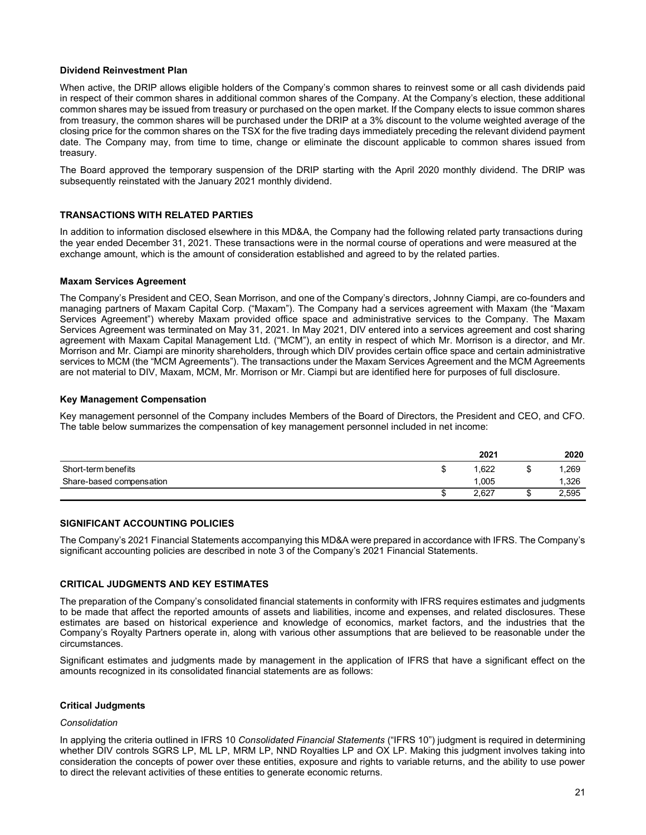# Dividend Reinvestment Plan

When active, the DRIP allows eligible holders of the Company's common shares to reinvest some or all cash dividends paid in respect of their common shares in additional common shares of the Company. At the Company's election, these additional common shares may be issued from treasury or purchased on the open market. If the Company elects to issue common shares from treasury, the common shares will be purchased under the DRIP at a 3% discount to the volume weighted average of the closing price for the common shares on the TSX for the five trading days immediately preceding the relevant dividend payment date. The Company may, from time to time, change or eliminate the discount applicable to common shares issued from treasury.

The Board approved the temporary suspension of the DRIP starting with the April 2020 monthly dividend. The DRIP was subsequently reinstated with the January 2021 monthly dividend.

# TRANSACTIONS WITH RELATED PARTIES

In addition to information disclosed elsewhere in this MD&A, the Company had the following related party transactions during the year ended December 31, 2021. These transactions were in the normal course of operations and were measured at the exchange amount, which is the amount of consideration established and agreed to by the related parties.

# Maxam Services Agreement

The Company's President and CEO, Sean Morrison, and one of the Company's directors, Johnny Ciampi, are co-founders and managing partners of Maxam Capital Corp. ("Maxam"). The Company had a services agreement with Maxam (the "Maxam Services Agreement") whereby Maxam provided office space and administrative services to the Company. The Maxam Services Agreement was terminated on May 31, 2021. In May 2021, DIV entered into a services agreement and cost sharing agreement with Maxam Capital Management Ltd. ("MCM"), an entity in respect of which Mr. Morrison is a director, and Mr. Morrison and Mr. Ciampi are minority shareholders, through which DIV provides certain office space and certain administrative services to MCM (the "MCM Agreements"). The transactions under the Maxam Services Agreement and the MCM Agreements are not material to DIV, Maxam, MCM, Mr. Morrison or Mr. Ciampi but are identified here for purposes of full disclosure. party transactions during<br>
al were measured at the<br>
rties.<br>
Impli, are co-founders and<br>
example and cost sharing<br>
son is a director, and Mr.<br>
and certain administrative<br>
and the MCM Agreements<br>
so full disclosure.<br>
dent an **ITRANSACTIONS WITH RELATED PARTIES**<br>
In addition to information disclosed elsewhere in this MD&A, the Company had the following related party transactions during<br>
the year ended December 31, 2021. These transactions were **TRANSACTIONS WITH RELATED PARTIES**<br>
The addition to information disclosed electwhere in this MD&A, the Company had the following related party transactions during<br>
the year ended December 31, 2021. These transactions were

### Key Management Compensation

Key management personnel of the Company includes Members of the Board of Directors, the President and CEO, and CFO. The table below summarizes the compensation of key management personnel included in net income:

|                          | 2021  | 2020  |
|--------------------------|-------|-------|
| Short-term benefits      | .622  | ,269  |
| Share-based compensation | 1,005 | 1,326 |
|                          | 2,627 | 2,595 |

# SIGNIFICANT ACCOUNTING POLICIES

The Company's 2021 Financial Statements accompanying this MD&A were prepared in accordance with IFRS. The Company's significant accounting policies are described in note 3 of the Company's 2021 Financial Statements.

#### CRITICAL JUDGMENTS AND KEY ESTIMATES

The preparation of the Company's consolidated financial statements in conformity with IFRS requires estimates and judgments to be made that affect the reported amounts of assets and liabilities, income and expenses, and related disclosures. These estimates are based on historical experience and knowledge of economics, market factors, and the industries that the Company's Royalty Partners operate in, along with various other assumptions that are believed to be reasonable under the circumstances.

Significant estimates and judgments made by management in the application of IFRS that have a significant effect on the amounts recognized in its consolidated financial statements are as follows:

#### Critical Judgments

#### Consolidation

In applying the criteria outlined in IFRS 10 Consolidated Financial Statements ("IFRS 10") judgment is required in determining whether DIV controls SGRS LP, ML LP, MRM LP, NND Royalties LP and OX LP. Making this judgment involves taking into consideration the concepts of power over these entities, exposure and rights to variable returns, and the ability to use power to direct the relevant activities of these entities to generate economic returns.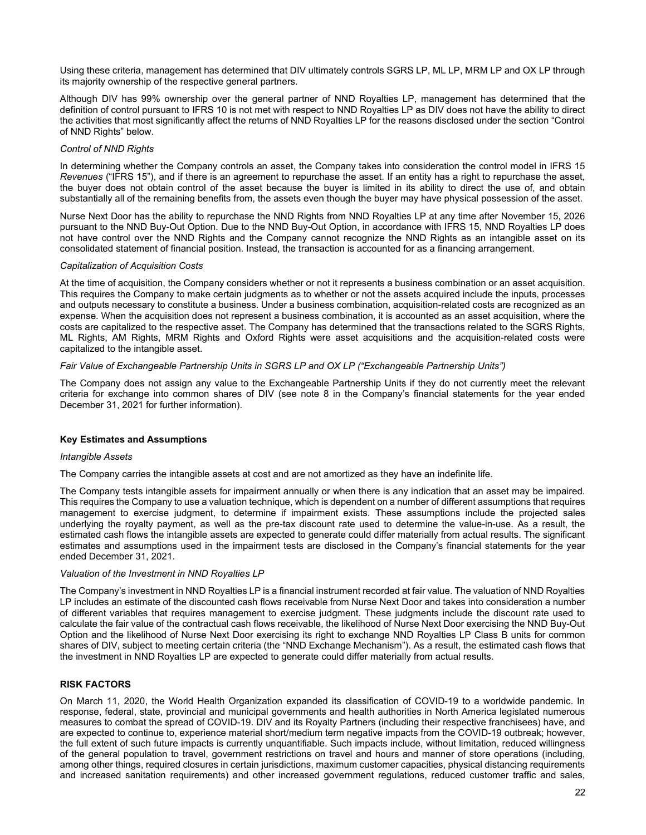Using these criteria, management has determined that DIV ultimately controls SGRS LP, ML LP, MRM LP and OX LP through its majority ownership of the respective general partners.

Although DIV has 99% ownership over the general partner of NND Royalties LP, management has determined that the definition of control pursuant to IFRS 10 is not met with respect to NND Royalties LP as DIV does not have the ability to direct the activities that most significantly affect the returns of NND Royalties LP for the reasons disclosed under the section "Control of NND Rights" below.

### Control of NND Rights

In determining whether the Company controls an asset, the Company takes into consideration the control model in IFRS 15 Revenues ("IFRS 15"), and if there is an agreement to repurchase the asset. If an entity has a right to repurchase the asset, the buyer does not obtain control of the asset because the buyer is limited in its ability to direct the use of, and obtain substantially all of the remaining benefits from, the assets even though the buyer may have physical possession of the asset.

Nurse Next Door has the ability to repurchase the NND Rights from NND Royalties LP at any time after November 15, 2026 pursuant to the NND Buy-Out Option. Due to the NND Buy-Out Option, in accordance with IFRS 15, NND Royalties LP does not have control over the NND Rights and the Company cannot recognize the NND Rights as an intangible asset on its consolidated statement of financial position. Instead, the transaction is accounted for as a financing arrangement.

### Capitalization of Acquisition Costs

At the time of acquisition, the Company considers whether or not it represents a business combination or an asset acquisition. This requires the Company to make certain judgments as to whether or not the assets acquired include the inputs, processes and outputs necessary to constitute a business. Under a business combination, acquisition-related costs are recognized as an expense. When the acquisition does not represent a business combination, it is accounted as an asset acquisition, where the costs are capitalized to the respective asset. The Company has determined that the transactions related to the SGRS Rights, ML Rights, AM Rights, MRM Rights and Oxford Rights were asset acquisitions and the acquisition-related costs were capitalized to the intangible asset.

# Fair Value of Exchangeable Partnership Units in SGRS LP and OX LP ("Exchangeable Partnership Units")

The Company does not assign any value to the Exchangeable Partnership Units if they do not currently meet the relevant criteria for exchange into common shares of DIV (see note 8 in the Company's financial statements for the year ended December 31, 2021 for further information).

# Key Estimates and Assumptions

#### Intangible Assets

The Company carries the intangible assets at cost and are not amortized as they have an indefinite life.

The Company tests intangible assets for impairment annually or when there is any indication that an asset may be impaired. This requires the Company to use a valuation technique, which is dependent on a number of different assumptions that requires management to exercise judgment, to determine if impairment exists. These assumptions include the projected sales underlying the royalty payment, as well as the pre-tax discount rate used to determine the value-in-use. As a result, the estimated cash flows the intangible assets are expected to generate could differ materially from actual results. The significant estimates and assumptions used in the impairment tests are disclosed in the Company's financial statements for the year ended December 31, 2021.

### Valuation of the Investment in NND Royalties LP

The Company's investment in NND Royalties LP is a financial instrument recorded at fair value. The valuation of NND Royalties LP includes an estimate of the discounted cash flows receivable from Nurse Next Door and takes into consideration a number of different variables that requires management to exercise judgment. These judgments include the discount rate used to calculate the fair value of the contractual cash flows receivable, the likelihood of Nurse Next Door exercising the NND Buy-Out Option and the likelihood of Nurse Next Door exercising its right to exchange NND Royalties LP Class B units for common shares of DIV, subject to meeting certain criteria (the "NND Exchange Mechanism"). As a result, the estimated cash flows that the investment in NND Royalties LP are expected to generate could differ materially from actual results.

# RISK FACTORS

On March 11, 2020, the World Health Organization expanded its classification of COVID-19 to a worldwide pandemic. In response, federal, state, provincial and municipal governments and health authorities in North America legislated numerous measures to combat the spread of COVID-19. DIV and its Royalty Partners (including their respective franchisees) have, and are expected to continue to, experience material short/medium term negative impacts from the COVID-19 outbreak; however, the full extent of such future impacts is currently unquantifiable. Such impacts include, without limitation, reduced willingness of the general population to travel, government restrictions on travel and hours and manner of store operations (including, among other things, required closures in certain jurisdictions, maximum customer capacities, physical distancing requirements and increased sanitation requirements) and other increased government regulations, reduced customer traffic and sales,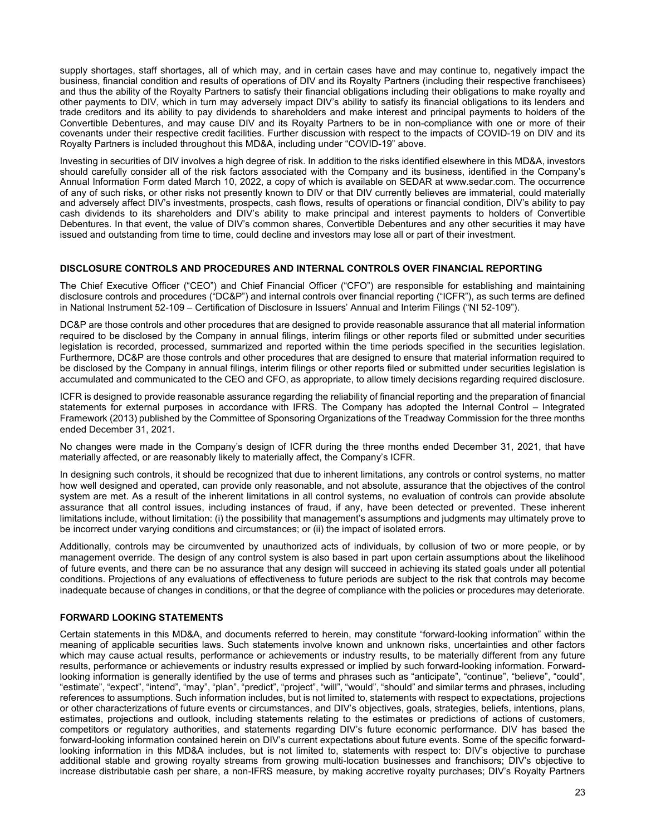supply shortages, staff shortages, all of which may, and in certain cases have and may continue to, negatively impact the business, financial condition and results of operations of DIV and its Royalty Partners (including their respective franchisees) and thus the ability of the Royalty Partners to satisfy their financial obligations including their obligations to make royalty and other payments to DIV, which in turn may adversely impact DIV's ability to satisfy its financial obligations to its lenders and trade creditors and its ability to pay dividends to shareholders and make interest and principal payments to holders of the Convertible Debentures, and may cause DIV and its Royalty Partners to be in non-compliance with one or more of their covenants under their respective credit facilities. Further discussion with respect to the impacts of COVID-19 on DIV and its Royalty Partners is included throughout this MD&A, including under "COVID-19" above.

Investing in securities of DIV involves a high degree of risk. In addition to the risks identified elsewhere in this MD&A, investors should carefully consider all of the risk factors associated with the Company and its business, identified in the Company's Annual Information Form dated March 10, 2022, a copy of which is available on SEDAR at www.sedar.com. The occurrence of any of such risks, or other risks not presently known to DIV or that DIV currently believes are immaterial, could materially and adversely affect DIV's investments, prospects, cash flows, results of operations or financial condition, DIV's ability to pay cash dividends to its shareholders and DIV's ability to make principal and interest payments to holders of Convertible Debentures. In that event, the value of DIV's common shares, Convertible Debentures and any other securities it may have issued and outstanding from time to time, could decline and investors may lose all or part of their investment.

### DISCLOSURE CONTROLS AND PROCEDURES AND INTERNAL CONTROLS OVER FINANCIAL REPORTING

The Chief Executive Officer ("CEO") and Chief Financial Officer ("CFO") are responsible for establishing and maintaining disclosure controls and procedures ("DC&P") and internal controls over financial reporting ("ICFR"), as such terms are defined in National Instrument 52-109 – Certification of Disclosure in Issuers' Annual and Interim Filings ("NI 52-109").

DC&P are those controls and other procedures that are designed to provide reasonable assurance that all material information required to be disclosed by the Company in annual filings, interim filings or other reports filed or submitted under securities legislation is recorded, processed, summarized and reported within the time periods specified in the securities legislation. Furthermore, DC&P are those controls and other procedures that are designed to ensure that material information required to be disclosed by the Company in annual filings, interim filings or other reports filed or submitted under securities legislation is accumulated and communicated to the CEO and CFO, as appropriate, to allow timely decisions regarding required disclosure.

ICFR is designed to provide reasonable assurance regarding the reliability of financial reporting and the preparation of financial statements for external purposes in accordance with IFRS. The Company has adopted the Internal Control – Integrated Framework (2013) published by the Committee of Sponsoring Organizations of the Treadway Commission for the three months ended December 31, 2021.

No changes were made in the Company's design of ICFR during the three months ended December 31, 2021, that have materially affected, or are reasonably likely to materially affect, the Company's ICFR.

In designing such controls, it should be recognized that due to inherent limitations, any controls or control systems, no matter how well designed and operated, can provide only reasonable, and not absolute, assurance that the objectives of the control system are met. As a result of the inherent limitations in all control systems, no evaluation of controls can provide absolute assurance that all control issues, including instances of fraud, if any, have been detected or prevented. These inherent limitations include, without limitation: (i) the possibility that management's assumptions and judgments may ultimately prove to be incorrect under varying conditions and circumstances; or (ii) the impact of isolated errors.

Additionally, controls may be circumvented by unauthorized acts of individuals, by collusion of two or more people, or by management override. The design of any control system is also based in part upon certain assumptions about the likelihood of future events, and there can be no assurance that any design will succeed in achieving its stated goals under all potential conditions. Projections of any evaluations of effectiveness to future periods are subject to the risk that controls may become inadequate because of changes in conditions, or that the degree of compliance with the policies or procedures may deteriorate.

# FORWARD LOOKING STATEMENTS

Certain statements in this MD&A, and documents referred to herein, may constitute "forward-looking information" within the meaning of applicable securities laws. Such statements involve known and unknown risks, uncertainties and other factors which may cause actual results, performance or achievements or industry results, to be materially different from any future results, performance or achievements or industry results expressed or implied by such forward-looking information. Forwardlooking information is generally identified by the use of terms and phrases such as "anticipate", "continue", "believe", "could", "estimate", "expect", "intend", "may", "plan", "predict", "project", "will", "would", "should" and similar terms and phrases, including references to assumptions. Such information includes, but is not limited to, statements with respect to expectations, projections or other characterizations of future events or circumstances, and DIV's objectives, goals, strategies, beliefs, intentions, plans, estimates, projections and outlook, including statements relating to the estimates or predictions of actions of customers, competitors or regulatory authorities, and statements regarding DIV's future economic performance. DIV has based the forward-looking information contained herein on DIV's current expectations about future events. Some of the specific forwardlooking information in this MD&A includes, but is not limited to, statements with respect to: DIV's objective to purchase additional stable and growing royalty streams from growing multi-location businesses and franchisors; DIV's objective to increase distributable cash per share, a non-IFRS measure, by making accretive royalty purchases; DIV's Royalty Partners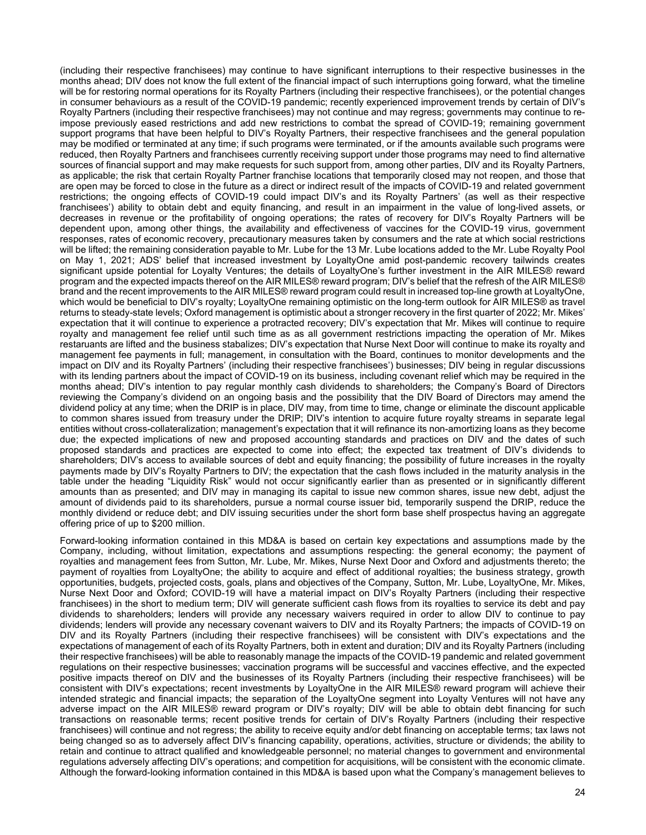(including their respective franchisees) may continue to have significant interruptions to their respective businesses in the months ahead; DIV does not know the full extent of the financial impact of such interruptions going forward, what the timeline will be for restoring normal operations for its Royalty Partners (including their respective franchisees), or the potential changes in consumer behaviours as a result of the COVID-19 pandemic; recently experienced improvement trends by certain of DIV's Royalty Partners (including their respective franchisees) may not continue and may regress; governments may continue to reimpose previously eased restrictions and add new restrictions to combat the spread of COVID-19; remaining government support programs that have been helpful to DIV's Royalty Partners, their respective franchisees and the general population may be modified or terminated at any time; if such programs were terminated, or if the amounts available such programs were reduced, then Royalty Partners and franchisees currently receiving support under those programs may need to find alternative sources of financial support and may make requests for such support from, among other parties, DIV and its Royalty Partners, as applicable; the risk that certain Royalty Partner franchise locations that temporarily closed may not reopen, and those that are open may be forced to close in the future as a direct or indirect result of the impacts of COVID-19 and related government restrictions; the ongoing effects of COVID-19 could impact DIV's and its Royalty Partners' (as well as their respective franchisees') ability to obtain debt and equity financing, and result in an impairment in the value of long-lived assets, or decreases in revenue or the profitability of ongoing operations; the rates of recovery for DIV's Royalty Partners will be dependent upon, among other things, the availability and effectiveness of vaccines for the COVID-19 virus, government responses, rates of economic recovery, precautionary measures taken by consumers and the rate at which social restrictions will be lifted; the remaining consideration payable to Mr. Lube for the 13 Mr. Lube locations added to the Mr. Lube Royalty Pool on May 1, 2021; ADS' belief that increased investment by LoyaltyOne amid post-pandemic recovery tailwinds creates significant upside potential for Loyalty Ventures; the details of LoyaltyOne's further investment in the AIR MILES® reward program and the expected impacts thereof on the AIR MILES® reward program; DIV's belief that the refresh of the AIR MILES® brand and the recent improvements to the AIR MILES® reward program could result in increased top-line growth at LoyaltyOne, which would be beneficial to DIV's royalty; LoyaltyOne remaining optimistic on the long-term outlook for AIR MILES® as travel returns to steady-state levels; Oxford management is optimistic about a stronger recovery in the first quarter of 2022; Mr. Mikes' expectation that it will continue to experience a protracted recovery; DIV's expectation that Mr. Mikes will continue to require royalty and management fee relief until such time as as all government restrictions impacting the operation of Mr. Mikes restaruants are lifted and the business stabalizes; DIV's expectation that Nurse Next Door will continue to make its royalty and management fee payments in full; management, in consultation with the Board, continues to monitor developments and the impact on DIV and its Royalty Partners' (including their respective franchisees') businesses; DIV being in regular discussions with its lending partners about the impact of COVID-19 on its business, including covenant relief which may be required in the months ahead; DIV's intention to pay regular monthly cash dividends to shareholders; the Company's Board of Directors reviewing the Company's dividend on an ongoing basis and the possibility that the DIV Board of Directors may amend the dividend policy at any time; when the DRIP is in place, DIV may, from time to time, change or eliminate the discount applicable to common shares issued from treasury under the DRIP; DIV's intention to acquire future royalty streams in separate legal entities without cross-collateralization; management's expectation that it will refinance its non-amortizing loans as they become due; the expected implications of new and proposed accounting standards and practices on DIV and the dates of such proposed standards and practices are expected to come into effect; the expected tax treatment of DIV's dividends to shareholders; DIV's access to available sources of debt and equity financing; the possibility of future increases in the royalty payments made by DIV's Royalty Partners to DIV; the expectation that the cash flows included in the maturity analysis in the table under the heading "Liquidity Risk" would not occur significantly earlier than as presented or in significantly different amounts than as presented; and DIV may in managing its capital to issue new common shares, issue new debt, adjust the amount of dividends paid to its shareholders, pursue a normal course issuer bid, temporarily suspend the DRIP, reduce the monthly dividend or reduce debt; and DIV issuing securities under the short form base shelf prospectus having an aggregate offering price of up to \$200 million.

Forward-looking information contained in this MD&A is based on certain key expectations and assumptions made by the Company, including, without limitation, expectations and assumptions respecting: the general economy; the payment of royalties and management fees from Sutton, Mr. Lube, Mr. Mikes, Nurse Next Door and Oxford and adjustments thereto; the payment of royalties from LoyaltyOne; the ability to acquire and effect of additional royalties; the business strategy, growth opportunities, budgets, projected costs, goals, plans and objectives of the Company, Sutton, Mr. Lube, LoyaltyOne, Mr. Mikes, Nurse Next Door and Oxford; COVID-19 will have a material impact on DIV's Royalty Partners (including their respective franchisees) in the short to medium term; DIV will generate sufficient cash flows from its royalties to service its debt and pay dividends to shareholders; lenders will provide any necessary waivers required in order to allow DIV to continue to pay dividends; lenders will provide any necessary covenant waivers to DIV and its Royalty Partners; the impacts of COVID-19 on DIV and its Royalty Partners (including their respective franchisees) will be consistent with DIV's expectations and the expectations of management of each of its Royalty Partners, both in extent and duration; DIV and its Royalty Partners (including their respective franchisees) will be able to reasonably manage the impacts of the COVID-19 pandemic and related government regulations on their respective businesses; vaccination programs will be successful and vaccines effective, and the expected positive impacts thereof on DIV and the businesses of its Royalty Partners (including their respective franchisees) will be consistent with DIV's expectations; recent investments by LoyaltyOne in the AIR MILES® reward program will achieve their intended strategic and financial impacts; the separation of the LoyaltyOne segment into Loyalty Ventures will not have any adverse impact on the AIR MILES® reward program or DIV's royalty; DIV will be able to obtain debt financing for such transactions on reasonable terms; recent positive trends for certain of DIV's Royalty Partners (including their respective franchisees) will continue and not regress; the ability to receive equity and/or debt financing on acceptable terms; tax laws not being changed so as to adversely affect DIV's financing capability, operations, activities, structure or dividends; the ability to retain and continue to attract qualified and knowledgeable personnel; no material changes to government and environmental regulations adversely affecting DIV's operations; and competition for acquisitions, will be consistent with the economic climate. Although the forward-looking information contained in this MD&A is based upon what the Company's management believes to